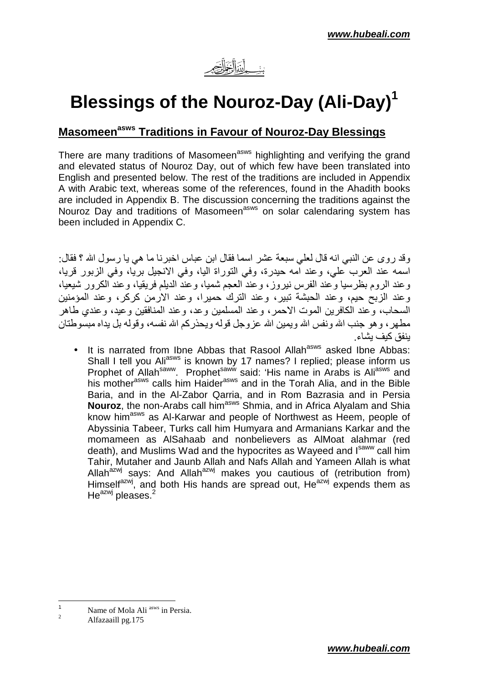

# **Blessings of the Nouroz-Day (Ali-Day)<sup>1</sup>**

## **Masomeenasws Traditions in Favour of Nouroz-Day Blessings**

There are many traditions of Masomeen<sup>asws</sup> highlighting and verifying the grand and elevated status of Nouroz Day, out of which few have been translated into English and presented below. The rest of the traditions are included in Appendix A with Arabic text, whereas some of the references, found in the Ahadith books are included in Appendix B. The discussion concerning the traditions against the Nouroz Day and traditions of Masomeen<sup>asws</sup> on solar calendaring system has been included in Appendix C.

وقد روى عن النبي انه قال لعلي سبعة عشر اسما فقال ابن عباس اخبرنا ما هي يا رسول الله ؟ فقال: اسمه عند العرب علي، وعند امه حيدرة، وفي التوراة اليا، وفي الانجيل بريا، وفي الزبور قريا، وعند الروم بظرسيا وعند الفرس نيروز، وعند العجم شميا، وعند الديلم فريقيا، وعند الكرور شيعيا، و عند الزيح حيم، و عند الحشبة تيبر ، و عند الترك حميرا، و عند الار من كركر ، و عند المؤمنين السحاب، و عند الكافر بن الموت الاحمر ، و عند المسلمين و عد، و عند المنافقين و عيد، و عندي طـاهر مطـهر ، و هو جنب الله و نفس الله و بمبن الله عز و جلّ قو له و بـحذر كم الله نفسه، و قو لـه بل بداه مبسّو طنّان ينفق كيف يشاء

 $\bullet$  It is narrated from Ibne Abbas that Rasool Allah<sup>asws</sup> asked Ibne Abbas: Shall I tell you Ali<sup>asws</sup> is known by 17 names? I replied; please inform us Prophet of Allah<sup>saww</sup>. Prophet<sup>saww</sup> said: 'His name in Arabs is Ali<sup>asws</sup> and his mother<sup>asws</sup> calls him Haider<sup>asws</sup> and in the Torah Alia, and in the Bible Baria, and in the Al-Zabor Qarria, and in Rom Bazrasia and in Persia **Nouroz**, the non-Arabs call him<sup>asws</sup> Shmia, and in Africa Alyalam and Shia know him<sup>asws</sup> as Al-Karwar and people of Northwest as Heem, people of Abyssinia Tabeer, Turks call him Humyara and Armanians Karkar and the momameen as AlSahaab and nonbelievers as AlMoat alahmar (red death), and Muslims Wad and the hypocrites as Wayeed and Isaww call him Tahir, Mutaher and Jaunb Allah and Nafs Allah and Yameen Allah is what Allah<sup>azwj</sup> says: And Allah<sup>azwj</sup> makes you cautious of (retribution from) Himself<sup>azwj</sup>, and both His hands are spread out, He<sup>azwj</sup> expends them as He $^{axmj}$  pleases.<sup>2</sup>

 $\overline{1}$ Name of Mola Ali<sup>asws</sup> in Persia.

 $\overline{2}$ Alfazaaill pg.175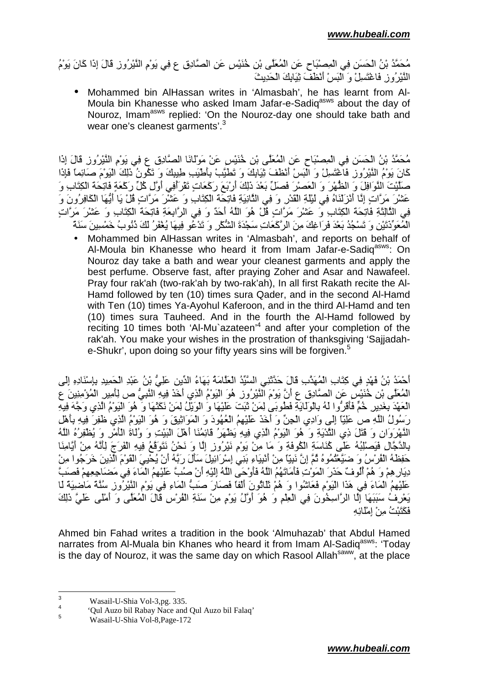مُحَمَّدُ بْنُ الْحَسَنِ فِي الْمِصْبَاحِ عَنِ الْمُعَلَّى بْنِ خُنَيْسِ عَنِ الصَّادِقِ ع فِي يَوْمِ النَّيْرُوزِ قَالَ إِذَا كَانَ يَوْمُ النَّبْرِ وَنِ فَاعْتَسِلْ وَ اَلْنَسْ أَنْظَفَ ثَبَابِكَ الْجَدِيثَ

• Mohammed bin AlHassan writes in 'Almasbah', he has learnt from Al-Moula bin Khanesse who asked Imam Jafar-e-Sadig<sup>asws</sup> about the day of Nouroz, Imam<sup>asws</sup> replied: 'On the Nouroz-day one should take bath and wear one's cleanest garments'.<sup>3</sup>

مُحَمَّدُ بْنُ الْحَسَنِ فِي الْمِصنْبَاحِ عَنِ الْمُعَلِّي بْنِ خُنَيْسٍ عَنْ مَوِّلانَا الصَّادِقِ عِ فِي يَوْمِ النَّيْرِ وِزِ قَالَ إِذَا كَانَ يَوْمُ النَّيْرِ ُو زِ فَاَعْتَسِلْ وَ الْبَسْ أَنْطَفَ ثِيَابِكَ وَ تَطَيَّبْ بِأَطْيَبِ طِبِبِكَ وَ تَكُّو نُ ذَلِكَ النَوْمَ صَائِماً فَإِذَا صَلَيْتَ الْنَّوَافِلَ وَ الظُّهْرَ وَ الْعَصْرَ فَصَلِّ بَعْدَ ذَلِكَ أَرْبَعَ رَكَعَاتٍ تَقْرَأُفِي أُوَّلِ كُلِّ رَكْعَةٍ فَاتِحَة الْكِتَابِ وَ عَشْرَ مَرَّاتٍ إِنَّا أَنْزِئْنَاهُ فِي لَئِلَةِ الْقَدْرِ وَ فِي النَّانِيَةِ فَاتِحَةَ الْكِتَابِ وَ عَشْرَ مَرَّاتٍ قُلْ يَا أَيُّهَا الْكَافِرُونَ وَ فِي النَّالِثَةِ فَاتِحَة الْكِتَابِ وَ عَشْرَ مَرَّاتٍ قُلْ هُوَ اللَّهُ أَحَدٌ وَ فِي الرَّابِعَةِ فَاتِحَةَ الْكِتَابِ وَ عَشْرَ مَرَّاتٍ الْمُعَوِّذَتَيْنِ وَ تَسْجُدُ بَعْدَ فَرَاغِكَ مِنَ الرَّكَعَاتِ سَجْدَةَ الشَّكْرِ وَ تَدْعُو فِيهَا يُغْفَرُ لَكَ دُنُوبُ خَمْسِينَ سَنَةً

• Mohammed bin AlHassan writes in 'Almasbah', and reports on behalf of Al-Moula bin Khanesse who heard it from Imam Jafar-e-Sadiq<sup>asws</sup>: On Nouroz day take a bath and wear your cleanest garments and apply the best perfume. Observe fast, after praying Zoher and Asar and Nawafeel. Pray four rak'ah (two-rak'ah by two-rak'ah), In all first Rakath recite the Al-Hamd followed by ten (10) times sura Qader, and in the second Al-Hamd with Ten (10) times Ya-Ayohul Kaferoon, and in the third Al-Hamd and ten (10) times sura Tauheed. And in the fourth the Al-Hamd followed by reciting 10 times both 'Al-Mu`azateen'<sup>4</sup> and after your completion of the rak'ah. You make your wishes in the prostration of thanksgiving 'Sajjadahe-Shukr', upon doing so your fifty years sins will be forgiven.<sup>5</sup>

أَحْمَدُ بْنُ فَهْدٍ فِي كِتَابِ الْمُهَدَّبِ قَالَ حَدَّثَنِي الْسَّيِّدُ الْعَلَّامَةُ بَهَاءُ الدِّينِ عَلِيَّ بْنُ عَبْدِ الْحَمِيدِ بِإِسْنَادِهِ إِلَى الْمُعَلَّى بْنِ خُنَيْسٍ عَنِ الْصَّادِقِ عِ أَنَّ يَوْمَ النَّيْرِ وَزِ ۚ هُوَ الْيَوْمُ الْذِي أَخَذَ فِيهِ النَّبِيُّ ص لِلْمِيرِ الْمُؤْمِنِينَ عِ الْعَهْدَ بِغَدِيرٍ خُمٍّ فَأَقَرُّوا لَهُ بِالْوَلَايَةِ فَطُوبَى لِمَنْ ثَبَتَ عَلَيْهَا وَ الْوَيْلُ لِمَنْ نَكَتَهَا وَ هُوَ الْيَوْمُ الَّذِي وَجَّهَ فِيهِ رَسُولُ اللَّهِ ص عَلِيَّا إِلَى وَادِي الْجِنِّ وَ أَخَذَ عَلَيْهِمُ الْعُهُودَ وَ الْمَوَانِيْقَ وَ هُوَ الْيَوْمُ الَّذِي ظَفِرَ فِيهِ بِأَهْلِ الْذَّهْرَوَانِ وَ قَتَلَ ذِي النَّذْيَةِ وَ ۖ هُوَ الْيَوْمُ الَّذِي فِيهِ يَظْهَرُ ۚ قَائِمُنَا أَهْلَ الْبَيْتِ وَ وُلْاَةُ الْأَمْرِ وَ يُُطْفِرُهُ اللَّهُ بِالْدَّجَّالِ فَيَصْلِبُهُ عَلَى كُنَاسَةِ الْكُوفَةِ وَ مَا مِنْ يَوْمِ نَيْرُوزِ إِلَّا وَ نَحْنُ نَتَوَقَّعُ فِيهِ الْفَرَجَ لِلْنَّهُ مِنْ أَيَّامِنَا حَفِظَهُ الْفُرْسُ وَ ضَيَّعْتُمُوهُ ثُمَّ إِنَّ نَبِيّاً مِنْ أَنْبِيَاءِ بَنِي إِسْرَائِيلَ سَأَلَ رَبَّهُ أَنْ يُحْيِيَ الْقَوْمَ الَّذِينَ خَرَجُوا مِنْ دِيَارِ هِمْ وَ هُمْ أُلُوفٌ حَذَرَ الْمَوْتُ فَأَمَاتَهُمُ اللَّهُ فَأَوْحَى اللَّهُ إِلَيْهِ أَنْ صِلِّ عَلَيْهِمُ الْمَاءَ فِي مَضنَاجِعِهِمْ فَصنبَّ عَلَيْهِمُ الْمَاءَ فِي هَذَا الْبَوْمِ فَعَاشُوا وَ هُمْ تَلْاثُونَ أَلْفًا فَصَارَ صَبٌّ الْمَاءِ فِي بَوْمِ الْنُيْرُوزِ سُنَّةً مَاضِيَةً لَا يَعْرِفُ سَبَبَهَا إِلَّا الرَّاسِخُونَ فِي الْعِلْمِ وَ هُوَ أَوَّلُ يَوْمٍ مِنْ سَنَةِ الْفُرْسِ قَالَ الْمُعَلَّى وَ أَمْلَى عَلَيَّ ذَلِكَ فَكَتَنْتُ منْ امْلَائِه

Ahmed bin Fahad writes a tradition in the book 'Almuhazab' that Abdul Hamed narrates from Al-Muala bin Khanes who heard it from Imam Al-Sadiq<sup>asws</sup>: 'Today is the day of Nouroz, it was the same day on which Rasool Allah<sup>saww</sup>, at the place

<sup>-&</sup>lt;br>3 Wasail-U-Shia Vol-3,pg. 335.

<sup>4</sup> 'Qul Auzo bil Rabay Nace and Qul Auzo bil Falaq'

<sup>5</sup> Wasail-U-Shia Vol-8,Page-172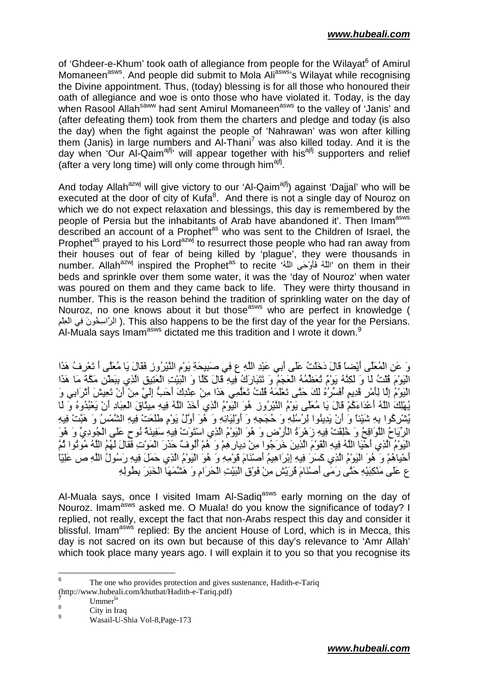of 'Ghdeer-e-Khum' took oath of allegiance from people for the Wilayat<sup>6</sup> of Amirul Momaneen<sup>asws</sup>. And people did submit to Mola Ali<sup>asws</sup>'s Wilayat while recognising the Divine appointment. Thus, (today) blessing is for all those who honoured their oath of allegiance and woe is onto those who have violated it. Today, is the day when Rasool Allah<sup>saww</sup> had sent Amirul Momaneen<sup>asws</sup> to the valley of 'Janis' and (after defeating them) took from them the charters and pledge and today (is also the day) when the fight against the people of 'Nahrawan' was won after killing them (Janis) in large numbers and Al-Thani<sup>7</sup> was also killed today. And it is the day when 'Our Al-Qaim<sup>ajfj,</sup> will appear together with his<sup>ajfj</sup> supporters and relief (after a very long time) will only come through him<sup>ajfj</sup>.

And today Allah<sup>azwj</sup> will give victory to our 'Al-Qaim<sup>ajfj</sup>) against 'Dajjal' who will be executed at the door of city of Kufa<sup>8</sup>. And there is not a single day of Nouroz on which we do not expect relaxation and blessings, this day is remembered by the people of Persia but the inhabitants of Arab have abandoned it'. Then Imam<sup>asws</sup> described an account of a Prophet<sup>as</sup> who was sent to the Children of Israel, the Prophet<sup>as</sup> prayed to his Lord<sup>azwj</sup> to resurrect those people who had ran away from their houses out of fear of being killed by 'plague', they were thousands in number. Allah<sup>azwj</sup> inspired the Prophet<sup>as</sup> to recite '<sup>اللهُ</sup> فَأَوْحَى اللَّهُ ۚ فَأَوْحَى اللَّهُ ' on them in their beds and sprinkle over them some water, it was the 'day of Nouroz' when water was poured on them and they came back to life. They were thirty thousand in number. This is the reason behind the tradition of sprinkling water on the day of Nouroz, no one knows about it but those<sup>asws</sup> who are perfect in knowledge ( الرَّاسِخُونَ فِي الْعِلْمِ ). This also happens to be the first day of the year for the Persians. Al-Muala says Imam<sup>asws</sup> dictated me this tradition and I wrote it down.<sup>9</sup>

وَ عَنِ الْمُعَلِّي أَيْضاً قَالَ دَخَلْتُ عَلَى أَبِي عَبْدِ اللَّهِ عِ فِي صَبِيحَةِ يَوْمِ النَّيْرِ وِزِ فَقَالَ يَا مُعَلِّي أَ تَعْرِفُ هَذَا اْلْبَوْمَ قُلْتُ لَا وَ لَكِنَّهُ بَوْمٌ تُعَظِّمُهُ الْعَجَمُ وَ تَتَبَارَكُ فِيهِ قَالَ كَلَا وَ الْبَيْتِ الْعَتِيقِ الَّذِي بِبَطْنِ مَكَّةً مَا هَذَا النِّوْمُ إِلَّا لِأَمْرِ قَدِيمٍ أَفَسِّرُهُ لَكَ حَتَّى تَعْلَمُهُ قُلْتُ تَعَلِّمِي هَذَا مِنْ عِنْدِكَ أَحَبُّ إِلَىَّ مِنْ أَنْ تَعِيشَ أَثْرَابِي وَ يُهْلِكَ اللّهُ أَعْدَاءَكُمْ قَالَ يَا مُعَلًى يَوِّمُ النَّبْرُ وز هُوَ الْبَوِّمُ الَّذِي أَخَذَ اللّهُ فِيهِ مِيثَّاقَ الْعِبَادِ أَنْ يَعْبُدُوهُ وَ َ لَا يُشْرِكُوا بِهِ شَيْنًا وَ أَنْ يَدِينُوا لِرُسُلِهِ وَ حُجَجِهِ وَ أَوْلِيَانِهِ وَ هُوَ أَوَّلُ يَوْمٍ طَلَعَتْ فِيهِ الشَّمْسُ وَ هَبَّتْ فِيهِ الرِّيَاحُ اللَّوَاقِحُ وَ خُلِقَتْ فِيهِ زَهْرَةُ الْأَرْضِ وَ هُوَ الْيَوْمُ الَّذِي اسْتَوَتْ فِيهِ سَفِينَةُ نُوحٍ عَلَى الْجُودِيِّ وَ هُوَ الْبَوْمُ الَّذِي أَحْيَا اللَّهُ فِيهِ الْقَوْمَ الَّذِينَ خَرَجُوا مِنْ دِيارِ هِمْ وَ هُمْ أُلُوفٌ حَدَرَ الْمَوْتِ فَقَالَ لَهُمُ اللَّهُ مُونُوا ثُمَّ أَحْيَاهُمْ وَ هُوَ الْيَوْمُ الْذِي كَسَرَ فِيهِ إِبْرَاهِيمُ أَصْنَامَ قَوْمِهِ وَ هُوَ الْيَوْمُ الْذِي حَمَلَ فِيهِ رَسُولُ اللَّهِ ص عَلِيّاً ع عَلَىٰ مَنْكِبَيْهِ حَتَّى رَمَى أَصنْنَامَ ڤُرَيْش مِنْ فَوْقِ الْبَيْتِ الْحَرَامِ وَ هَشَّمَهَا الْخَبَرَ بِطُولِهِ

Al-Muala says, once I visited Imam Al-Sadig<sup>asws</sup> early morning on the day of Nouroz. Imam<sup>asws</sup> asked me. O Muala! do you know the significance of today? I replied, not really, except the fact that non-Arabs respect this day and consider it blissful. Imam<sup>asws</sup> replied: By the ancient House of Lord, which is in Mecca, this day is not sacred on its own but because of this day's relevance to 'Amr Allah' which took place many years ago. I will explain it to you so that you recognise its

<sup>-&</sup>lt;br>6 The one who provides protection and gives sustenance, Hadith-e-Tariq (http://www.hubeali.com/khutbat/Hadith-e-Tariq.pdf)

<sup>7</sup> Ummer<sup>la</sup> 8

City in Iraq

<sup>9</sup> Wasail-U-Shia Vol-8,Page-173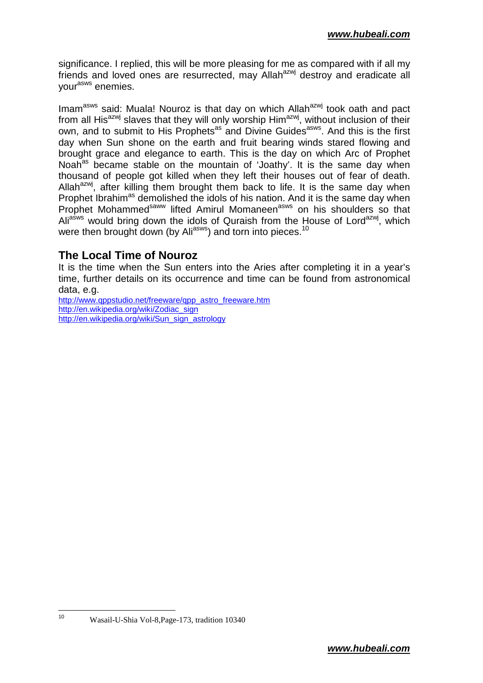significance. I replied, this will be more pleasing for me as compared with if all my friends and loved ones are resurrected, may Allah<sup>azwj</sup> destroy and eradicate all your<sup>asws</sup> enemies.

Imam<sup>asws</sup> said: Muala! Nouroz is that day on which Allah<sup>azwj</sup> took oath and pact from all His<sup>azwj</sup> slaves that they will only worship Him<sup>azwj</sup>, without inclusion of their own, and to submit to His Prophets<sup>as</sup> and Divine Guides<sup>asws</sup>. And this is the first day when Sun shone on the earth and fruit bearing winds stared flowing and brought grace and elegance to earth. This is the day on which Arc of Prophet Noah<sup>as</sup> became stable on the mountain of 'Joathy'. It is the same day when thousand of people got killed when they left their houses out of fear of death. Allah<sup>azwj</sup>, after killing them brought them back to life. It is the same day when Prophet Ibrahim<sup>as</sup> demolished the idols of his nation. And it is the same day when Prophet Mohammed<sup>saww</sup> lifted Amirul Momaneen<sup>asws</sup> on his shoulders so that Ali<sup>asws</sup> would bring down the idols of Quraish from the House of Lord<sup>azwj</sup>, which were then brought down (by Ali<sup>asws</sup>) and torn into pieces.<sup>10</sup>

## **The Local Time of Nouroz**

It is the time when the Sun enters into the Aries after completing it in a year's time, further details on its occurrence and time can be found from astronomical data, e.g.

http://www.gppstudio.net/freeware/gpp\_astro\_freeware.htm http://en.wikipedia.org/wiki/Zodiac\_sign http://en.wikipedia.org/wiki/Sun\_sign\_astrology

<sup>10</sup> Wasail-U-Shia Vol-8,Page-173, tradition 10340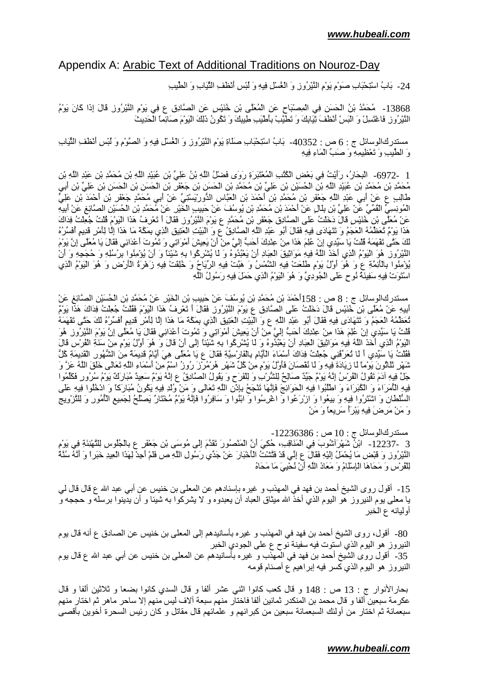#### Appendix A: Arabic Text of Additional Traditions on Nouroz-Day

24- َبَابُ اسْتِحْبَاب صَوْمٍ يَوْمِ النَّيْرُوزِ وَ الْغُسْلِ فِيهِ وَ لَبْسِ أَنْظَفِ الثَّيَابِ وَ الطَّيْبِ

13868 - مُحَمَّدُ بْنُ الْحَسَنِ فِي الْمِصْبَاحِ عَنِ الْمُعَلَّى بْنِ خُنَيْسِ عَنِ الصَّادِقِ عِ فِي يَوْمِ النَّيْرِ ُوزِ قَالَ إِذَا كَانَ يَوْمُ النَّيْرِ ُوزِ فَاعْتَسِلْ وَ الْبَسْ أَنْطْفَ ثِيَابِكَ وَ تَطْيَّبْ بِأَطْيَبِ طِيبِكَ وَ تَكُونُ ذَلِكَ الْيَوْمَ صَائِماً الْحَدِيثَ

مستدركالوسائل ج : 6 ص : 40352- بَابُ اسْتِحْبَابِ صَلَاةِ يَوْمِ الْنَيْرُوزِ وَ الْغُسْلِ فِيهِ وَ الصَّوْمِ وَ لَمْسٍ أَنْظَفِ الثَّيَابِ وَ الطُّيبِ وَ تَعْظِيمِهِ وَ صَبٍّ الْمَاءِ فِيهِ

1 ــ6972- الْبِحَارُ ، رَأَيْتُ فِي بَعْضِ الْكُتْبِ الْمُعْتَبَرَةِ رَوَى فَضْلُ اللَّهِ بْنُ عَلِيٍّ بْنِ عُبَيْدِ اللَّهِ بْنِ مُحَمَّدِ بْنِ عَبْدِ اللَّهِ بْنِ مُحَمَّدِ بْنِ مُحَمَّدِ بْنِ عُبَيْدِ اللَّهِ بْنِ الْحُسَيْنِ بْنِ عَلِيٍّ بْنِ مُحَمَّدِ بْنِ الْحَسَنِ بْنِ حَعْفَرِ بْنِ الْحَسَنِ بْنِ الْحَسَنِ بْنِ عَلِيِّ بْنِ اَبِيِ طَالِبِ ع عَنْ أَبِي عَبْدِ اللَّهِ جَعْفَر بْنِ مُحَمَّدِ بْنِ أَحْمَدَ بْنِ الْعَبَّاسِ الذُّورِيْسَيْتِيِّ عَنْ أَبِي مُحَمَّدٍ جَعْفَر بْنِ أَحْمَدَ بْنِ عَلِيٍّ الْمُونِسِيِّ الْقُمِّيِّ عَنْ عَلِيٍّ بْنِ بِلَالٍ عَنْ أَحْمَدَ بْنِ مُحَمَّدِ بْنِ يُوسُفَ عَنْ حَبِيبِ الْخَيْرِ عَنْ مُحَمَّدِ بْنِ الْحُسَيْنِ الصَّائِغِ عَنْ أَبِيهِ عَنْ مُعَلِّي بْنِ خُنَيْسِ قَالَ دَخَلْتُ عَلَى الصَّادِقِ جَعْفَرِ بْنِ مُحَمَّدٍ ع يَوْمَ النَّيْرُوزِ فَقَالَ أَ تَعْرِفُ هَذَا الْيَوْمَ قُلْتُ جُعِلْتُ فِدَاكَ هَذَا يَوْمٌ تُعَظِّمُهُ الْعَجَّمُ وَ تَتَهَادَى فِيهِ فَقَالَ أَبُو ۖ عَبْدِ اللَّهِ الصَّادِقُ عَ وَ الْبَيْتِ العَتِيقِ الَّذِي بِمَكَّةَ مَا هَذَا إِلَّا لِأَمْرٍ قَدِيمٍ أَفَسِّرُهُ لَّكَ حَتَّى تَقْهَمَهُ قُلْتُ يَا سَيِّدِي إِنْ عُلِمَ هَذَا مِنْ عِنْدِكَ أَحَبَّ إِلَيٍّ مِنْ أَنْ يَعِيشَ أَمْوَاتِي وَ تَمُوتَ أَعْدَائِي فَقَالَ يَا مُعَلِّي إِنَّ يَوْمَ النَّيْرُوزِ ۚ هُوَ الْبَوْمُ الَّذِي أَخَذَ اللَّهُ فِيهِ مَوَاثِيقَ الْعِبَادِ أَنْ يَعْبُدُوهُ وَ لَا يُشْرِكُوا بِهِ شَيْئًا وَ أَنْ يُؤْمِنُوا بِرُسُلِهِ وَ حُجَجِهِ وَ أَنْ يُؤْمِنُوا بِالْأَئِمَّةِ ع وَ هُوَ أُوَّلُ يَوْمِ طَلَعَتْ فِيهِ الشَّمْسُ وَ هَبَّتْ فِيهِ الرِّيَاحُ وَ خُلِقَتْ فِيهِ زَهْرَةُ الْأَرْضِ وَ هُوَ الْيَوْمُ الَّذِي اسْتَوَتْ فِيهِ سَفِينَهُ نُوحٍ عَلَى الْجُودِيِّ وَ هُوَ الْيَوْمُ الَّذِي حَمَلَ فِيهِ رَسُولُ اللَّهِ ۖ

ْ مستدركاالوسائل ج : 8 ص : 158أَحْمَدَ بْنِ مُحَمَّدِ بْنِ يُوسُفَ عَنْ حَبِيبِ بْنِ الْخَيْرِ عَنْ مُحَمَّدِ بْنِ الْحُسَيْنِ الْصَّائِغِ عَنْ أَلِيهِ عَنْ مُعَلِّي بْنِ خُنَيْسِ قَالَ دَخَلْتُ عَلَى الصَّادِقِ ع يَوْمَ النَّيْرُوزِ فَقَالَ أَ تَعْرِفُ هَذَا الْيَوْمَ فَقُلْتُ جُعِلْتُ فِدَاكَ هَذَا يَوْمٌ تُعَظِّمُهُ الْعَجَمُ وَ تَتَهَادَى فِيهِ فَقَالَ أَبُو عَبْدِ اللَّهِ ع وَ الْبَيْتِ الْعَتِيقِ الَّذِي بِمَكَّة مَا هَذَا إِلَّا لِأَمْرِ قَدِيمٍ أَفَسِّرُهُ لَكَ حَتَّى تَقْهَمَهُ فُلْتُ يَا سَيِّدِي إِنْ عُلِمَ هَذَا مِنْ عِنْدِكَ أَحَبُّ إِلَيَّ مِنْ أَنْ يَعِيشَ أَمْوَاتِي وَ تَمُوتَ أَعْدَانِي فَقَالَ يَا مُعَلَّى إِنَّ يَوْمَ النَّيْرِوُزِ ۖ هُوَ الْيَوْمُ الَّذِي أَخَذَ اللَّهُ فِيهِ مَوَاثِيقَ الْعِبَادِ أَنْ يَعْبُدُوهُ وَ لَمّا يُشْرِكُوا بِهِ شَيْئًا إِلَى أَنْ قَالَ وَ هُوَ أَوَّلُ يَوْمٍ مِنْ سَنَةِ الْفُرْسِ قَالَ فَقُلْتُ يَا سَيِّدِي أَ لَا تُعَرِّفُنِي جُعِلْتُ فِدَاكَ أَسْمَاءَ الْأَيَّامِ بِالْفَارْسِيَّةِ فَقَالَ ع يَا مُعَلَّى هِيَ أَيَّامٌ قَدِيمَةٌ مِنَ الشُّهُورِ الْقَدِيمَةِ كُلَّ شَهْرِ تَلْاثُونَ يَوْمًا لَا زِيَادَةَ فِيهِ وَ لَا نُفْصَانَ فَأُوَّلُ يَوْمٍ مِنْ كُلِّ شَهْرٍ ۖ هُرْمُرْزَ رُوزُ اسْمٌ مِنْ أَسْمَاءِ اللَّهِ تَعَالَى خَلْقَ اللَّهُ عَزَّ وَ جَلَّ فِيهِ آدَمَ تَقُولُ الْقُرْسُ إِنَّهُ يَوْمٌ جَيِّدٌ صَالِحٌ لِلشَّرْبِ وَ لِلْفَرَحِ وَ يَقُولُ الصَّادِقُ ع إِنَّهُ يَوْمٌ سَعِيدٌ مُبَارَكٌ يَوْمُ سُرُورٍ فَكَلّمُوا فِيهِ الْأَمَرَاءَ وَ الْكُبَرَاءَ وَ اطْلُبُوا فِيهِ الْحَوَائِجَ فَإِنَّهَا تَنْجَحُ بِإِنْنِ اللَّهِ تَعَالَى وَ مَنْ وُلْدِ فِيهِ يَكُونُ مُبَارَكًا وَ ادْخُلُوا فِيهِ عَلَى السُّلطان وَ اَشْتَرُوا فِيهِ وَ بِيعُوا وَ ازْرَعُوا وَ اغْرِسُوا وَ ابْنُوا وَ سَافِرُوا فَإِنَّهُ يَوْمٌ مُخْتَارٌ يَصْلُحُ لِجَمِيعِ الْأَمُورِ وَ لِلتَّزْوِيجِ وَ مَنْ مَرِضَ فِيهِ يَبْرَأُ سَرِيعًا وَ مَنْ

مستدركالوسائل ج : 10 ص : 12236386-3 -12237- ابْنُ شَهْرَآتْشُوبَ فِي الْمَذَاقِبِ، حُكِيَ أَنَّ الْمَنْصُورَ تَقَدَّمَ إِلَى مُوسَى بْنِ جَعْفَرِ ع بِالْجُلُوسِ لِلتَّهْنِئَةِ فِي يَوْم

النَّيْرُوزِ وَ قَبْضٍ مَا يُحْمَلُ إِلَيْهِ فَقَالَ ع إِنِّي قَدْ فَتَّشْتُ الْأَخْبَارَ عَنْ جَدِّي رَسُولِ اللَّهِ ص فَلَمْ أَجِدْ لِهَذَا الْعِيدِ خَبَرٍ أَ وَ أَنَّهُ سُنَّةٌ لِّلْقُرْسِ وَ مَحَاهَا الْإِسْلَامُ وَ مَعَاذَ اللَّهِ أَنْ نُحْيِيَ مَا مَحَاهُ

15- أقول روى الشيخ أحمد بن فهد في المهذب و غير ه بإسنادهم عن المعلى بن خنيس عن أبي عبد الله ع قال قال لي يا معلى يوم النيروز هو اليوم الذي أخذ الله ميثاق العباد أن يعبدوه و لا يشركوا به شيئا و أن يدينوا برسله و حججه و أوليائه ع الخبر

80- أقول، روى الشيخ أحمد بن فهد في المهذب و غيره بأسانيدهم إلى المعلى بن خنيس عن الصـادق ع أنـه قال يوم النيروز هو اليوم الذي استوت فيه سفينة نوح ع على الجودي الخبر 35- أقول روى الشيخ أحمد بن فهد في المهذب و غيره بأسانيدهم عن المعلى بن خنيس عن أبي عبد الله ع قال يوم النيروز هو اليوم الذي كسر فيه إبراهيم ع أصنام قومه

بحار الأنوار ج : 13 ص : 148 و قال كعب كانوا اثني عشر ألفا و قال السدي كانوا بضعا و ثلاثين ألفا و قال عكرمة سبعين ألفا و قال محمد بن المنكدر ثمانين ألفا فاختار منهم سبعة ألاف ليس منهم إلا ساحر ماهر ثم اختار منهم سبعمائة ثم اختار من أولئك السبعمائة سبعين من كبرائهم و علمائهم قال مقاتل و كان رئيس السحرة أخوين بأقصىي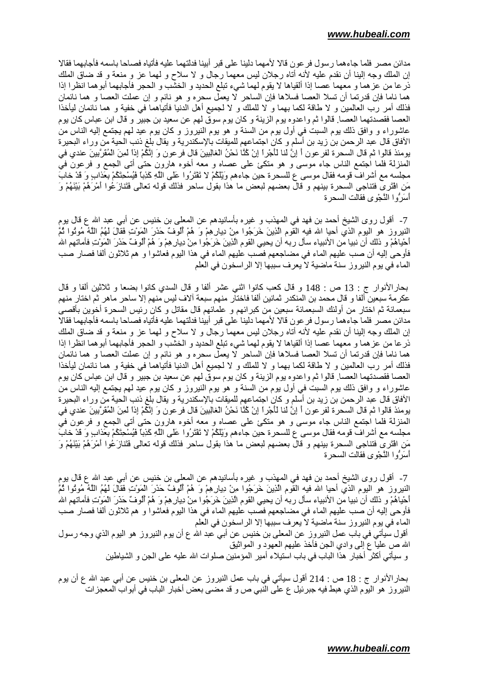مدائن مصر فلما جاءهما رسول فر عون قالا لأمهما دلينا على قبر أبينا فدلتهما عليه فأتياه فصاحا باسمه فأجابهما فقالا إن الملك وجه إلينا أن نقدم عليه لأنه أتاه رجلان ليس معهما رجال و لا سلاح و لمهما عز و منعة و قد ضاق الملك ذر عا من عز هما و معهما عصـا إذا ألقياها لا يقوم لهما شيء تبلَّع الحديد و الخشب و الحجر فأجابهما أبوهما انظرا إذا هما ناما فإن قدرتما أن تسلا العصـا فسلاها فإن الساحر لا يعمل سحره و هو نائم و إن عملت العصـا و هما نائمان فذلك أمر رب العالمين و لا طاقة لكما بهما و لا للملك و لا لجميع أهل الدنيا فأتياهما في خفية و هما نائمان ليأخذا العصـا فقصدتهما العصـا. قالوا ثم واعدوه بوم الزينـة و كان بوم سوق لـهم عن سعيد بن جبير و قال ابن عباس كان بوم عاشوراء و وافق ذلك يوم السبت في أول يوم من السنة و هو يوم النيروز و كان يوم عيد لمهم يجتمع إليه الناس من الأفاق قال عبد الرحمن بن زيد بن أسلم و كان اجتماعهم للميقات بالإسكندرية و يقال بلغ ذنب الحية من وراء البحيرة يومئذ قالوا ثم قال السحرة لفر عون أ إنَّ لَنا لَأَجْراً إنْ كُنَّا نَحْنُ الْغَالِبِينَ قال فر عون وَ إئْكُمْ إذا لمينَ الْمُقَرِّبِينَ عندي في المنزلة فلما اجتمع الناس جاء موسى و هو متكئ على عصاه و معه أخوه هارون حتى أتى الجمع و فرعون في مجلسه مع أشراف قومه فقال موسى ع للسحرة حين جاءهم وَيْلَكُمْ لا تَفْتَرُوا عَلَى اللَّهِ كَذِبًا فَيُسْحِنَكُمْ بعَذابٍ وَ قَدْ خابَ مَنِ الْقَرَى فَتَنَاجَى السَّحْرَة بينهم و قال بعضهم لبعض ما هذا بقول ساحر فذلك قوله تعالى فَتَنازَعُوا أمْرَهُمْ بَيْنَهُمْ وَ أسَرَّوا النَّجْوي فقالت السحرة

7- أقول روى الشيخ أحمد بن فهد في المهذب و غيره بأسانيدهم عن المعلى بن خنيس عن أبي عبد الله ع قال يوم النيروز هو اليوم الذي أحيا الله فيه القوم الذينَ خَرَجُوا مِنْ دِيارِهِمْ وَ هُمْ أَلُوفٌ حَذَرَ الْمَوْتِ فَقالَ لَهُمُ اللَّهُ مُوثُوا ثُمَّ أَحْيَاهُمْ و ذلك أن نبيا من الأنبياء سأل ربه أن يحيى القوم الَّذِينَ خَرَجُوا مِنْ دِيار هِمْ وَ هُمْ أُلوفٌ حَذرَ المَوْتِ فأماتهم الله فأوحى إليه أن صب عليهم الماء في مضاجعهم فصب عليهم الماء في هذا اليوم فعاشوا و هم ثلاثون ألفا فصار صب الماء في يوم النيروز سنة ماضية لا يعرف سببها إلا الراسخون في العلم

بحارالأنوار ج : 13 ص : 148 و قال كعب كانوا اثنـي عشر ألفا و قال السدي كانوا بضعا و ثلاثين ألفا و قال عكر مة سبعين ألفا و قال محمد بن المنكدر ثمانين ألفا فاختار منهم سبعة آلاف ليس منهم إلا ساحر ماهر ثم اختار منهم سبعمائة ثم اختار من أولئك السبعمائة سبعين من كبرائهم و علمائهم قال مقاتل و كان رئيس السحرة أخوين بأقصبي مدائن مصر فلما جاءهما رسول فرعون قالا لأمهما دلينا على قبر أبينا فدلتهما عليه فأتياه فصاحا باسمه فأجابهما فقالا إن الملك وجه إلينا أن نقدم عليه لأنه أناه رجلان ليس معهما رجال و لا سلاح و لمهما عز و منعة و قد ضاق الملك ذر عا من عز هما و معهما عصـا إذا ألقياها لا يقوم لهما شـيء تبلَّع الـحديد و الـخشب و الـحجر فأجابهما أبوهما انظرا إذا هما ناما فإن قدرتما أن نسلا العصا فسلاها فإن الساحر لا يعمِّل سحره و هو نائم و إن عملت العصـا و هما نائمان فذلك أمر رب العالمين و لا طاقة لكما بهما و لا للملك و لا لجميع أهل الدنيا فأتياهما فـي خفية و هما نائمان ليأخذا العصـا فقصـدتهما العصـا. قالوا ثم واعدوه يوم الزينـة و كان يوم سوق لـهم عن سعيد بن جبير و قال ابن عبـاس كان يوم عاشوراء و وافق ذلك بوم السبت في أول بوم من السنة و هو بوم النيروز و كان بوم عيد لمهم يجتمع إليه الناس من الأفاق قال عبد الرحمن بن زيد بن أسلم و كان اجتماعهم للميقات بالإسكندرية و يقال بلغ ذنب الحية من وراء البحيرة يومئذ قالوا ثم قال السحرة لفر عون أ إنَّ لَنا لَأَجْراً إنْ كُنَّا نَحْنُ الْغَالِبِينَ قال فر عون وَ إئكُمْ إذا لمينَ المُقَرِّبينَ عندي في المُنزلة فلما اجتمع الناس جاء موسى و هو مُنكئ على عصاه و معه أخوه هارون حتى أتى الجمع و فرعون في مجلسه مع أشراف قومه فقال موسى ع للسحرة حين جاءهم وَيُلْكُمْ لا تَفْتَرُوا عَلَى اللَّهِ كَذِباً فَيُسْحِئَكُمْ بعَذابٍ وَ قَدْ خابَ مَنِ الْقَرَى فَتَنَاجَى السَّحْرَة بينهم و قال بعضهم لبعض ما هذا بقول ساحر فذلك قوله تعالى فَتَنازَعُوا أمْرَهُمْ بَيْنَهُمْ وَ أسَرُّوا النُّجْوي فقالت السحرة

7- أقول روى الشيخ أحمد بن فهد في المهذب و غير ه بأسانيدهم عن المعلى بن خنيس عن أبي عبد الله ع قال يوم النيروز هو اليوم الذي أحيا الله فيه القوم الذينَ خَرَجُوا مِنْ دِيار هِمْ وَ هُمْ أَلُوفٌ حَذَرَ المَوْتِ فَقالَ لَهُمُ اللَّهُ مُوثُوا ثُمَّ أُحْياهُمْ و ذلك أن نبيا من الأنبياء سأل ربه أن يحيى القوم الَّذِينَ خَرَجُوا مِنْ دِيار هِمْ وَ هُمْ أُلُوفٌ حَذرَ المَوْتِ فأماتهم الله فأوحى إليه أن صب عليهم الماء في مضاجعهم فصب عليهم الماء في هذا اليوم فعاشوا و هم ثلاثون ألفا فصار صب الماء في يوم النيروز سنة ماضية لا يعرف سببها إلا الراسخون في العلم

أقول سيأتي في باب عمل النيروز عن المعلى بن خنيس عن أبي عبد الله ع أن يوم النيروز هو اليوم الذي وجه رسول الله ص عليا ع إلى وادي الـجن فأخذ عليهم الـعهود و المواثيق و سيأتي أكثر أخبار هذا الباب في باب استيلاء أمير المؤمنين صلوات الله عليه على الجن و الشياطين

بحار الأنوار ج : 18 ص : 214 أقول سيأتي في باب عمل النيروز عن المعلى بن خنيس عن أبي عبد الله ع أن يوم النيروز هو اليوم الذي هبط فيه جبر ئيل ع على النبي ص و قد مضىي بعض أخبار الباب في أبو اب المعجز ات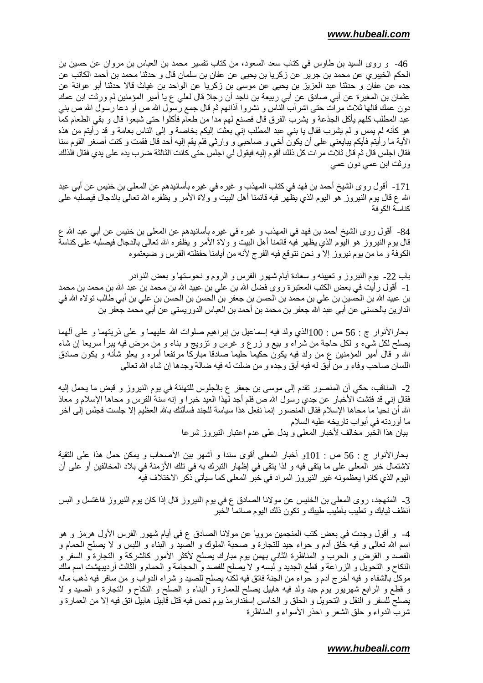46- و روى السيد بن طاوس في كتاب سعد السعود، من كتاب تفسير محمد بن العباس بن مروان عن حسين بن الحكم الخيبري عن محمد بن جرير عن زكريا بن يحيى عن عفان بن سلمان قال و حدثنا محمد بن أحمد الكاتب عن جده عن عفان و حدثنا عبد العزيز بن يحيى عن موسى بن زكريا عن الواحد بن غياث قالا حدثنا أبو عوانة عن عثمان بن المغيرة عن أبي صـادق عن أبي ربيعة بن نـاجد أن رـجلا قال لعلي ع يـا أمير المؤمنين لم ورثت ابن عمك دون عمك قالها ثلاث مرات حتى اشرأب الناس و نشروا أذانهم ثم قال جمع رسول الله ص أو دعا رسول الله ص بني عبد المطلب كلهم يأكل الجذعة و يشرب الفرق قال فصنع لهم مدا من طعام فأكلوا حتى شبعوا قال و بقى الطعام كما هو كأنه لم يمس و لم يشرب فقال يا بنـي عبد المطلب إنـي بـعثت إليكم بـخاصـة و إلـي النـاس بـعامـة و قد رأيتم من هذه الأية ما رأيتم فأيكم يبايعني على أن يكون أخي و صاحبي و وارثي فلم يقم إليه أحد قال فقمت و كنت أصغر القوم سنا فقال اجلس قال ثم قال ثلاث مر ات كل ذلك أقوم إليه فيقول لي اجلس حتى كانت الثالثة ضرب يده على يدي فقال فلذلك ورثت ابن عمي دون عمي

171- أقول روى الشيخ أحمد بن فهد في كتاب المهذب و غيره في غيره بأسانيدهم عن المعلى بن خنيس عن أبي عبد الله ع قال يوم النيروز هو اليوم الذي يظهر فيه قائمنا أهل البيت و ولاة الأمر و يظفره الله تعالى بالدجال فيصلبه على كناسة الكو فة

84- أقول روى الشيخ أحمد بن فهد في المهذب و غير ه في غيره بأسانيدهم عن المعلى بن خنيس عن أبي عبد الله ع قال بوم النبروز هو البوم الذي يظهر فيه قائمنا أهل البيت و ولاة الأمر و يظفره الله نعالمي بالدجال فيصلبه علمي كناسة الكوفة و ما من يوم نيروز إلا و نحن نتوقع فيه الفرج لأنه من أيامنا حفظته الفرس و ضيعتموه

باب 22- يوم النيروز و تعيينه و سعادة أيام شهور الفرس و الروم و نحوستها و بعض النوادر 1- أقول ر أيت في بعض الكتب المعتبر ة روى فضل الله بن على بن عبيد الله بن محمد بن عبد الله بن محمد بن محمد بن عبيد الله بن الحسين بن على بن محمد بن الحسن بن جعفر بن الحسن بن الحسن بن على بن أبي طالب تو لاه الله في الدارين بالحسنى عن أبي عبد الله جعفر بن محمد بن أحمد بن العباس الدوريستي عن أبي محمد جعفر بن

بحارالأنوار ج : 56 ص : 100الذي ولد فيه إسماعيل بن إبراهيم صلوات الله عليهما و علىي ذريتهما و علىي ألهما يصلح لكل شيء و لكل حاجة من شراء و بيع و زرع و غرس و تزويج و بناء و من مرض فيه يبرأ سريعا إن شاء الله و قال أمير المؤمنين ع من ولد فيه يكون حكيما حليما صادقا مباركا مرتفعا أمره و يعلو شأنه و يكون صادق اللسان صـاحب وفاء و من أبق له فيه أبق وجده و من ضلت له فيه ضـالـة وجدها إن شاء الله تعالـي

2- المناقب، حكي أن المنصور تقدم إلى موسى بن جعفر ع بالجلوس للتهنئة في يوم النيروز و قبض ما يحمل إليه فقال إني قد فتشت الأخبار عن جدي رسول الله ص فلم أجد لهذا العيد خبر ا و إنه سنة الفرس و محاها الإسلام و معاذ الله أن نحيا ما محاها الإسلام فقال المنصور إنما نفعل هذا سياسة للجند فسألتك بالله العظيم إلا جلست فجلس إلى آخر ما أو ر دنه في أبو اب نار يخه عليه السلام بيان هذا الخبر مخالف لأخبار المعلى ويدل على عدم اعتبار النيروز شرعا

بحارالأنوار ج : 56 ص : 101و أخبار المعلى أقوى سندا و أشهر بين الأصحاب و يمكن حمل هذا على التقية لاشتمال خبر المعلى على ما يتقى فيه و لذا يتقى في إظهار التبرك به في تلك الأزمنة في بلاد المخالفين أو على أن اليوم الذي كانوا يعظمونه غير النيروز المراد في خبر المعلى كما سيأتي ذكر الاختلاف فيه

3- المتهجد، روى المعلى بن الخنيس عن مولانا الصادق ع في يوم النيروز قال إذا كان يوم النيروز فاغتسل و البس أنظف ثيابك و تطيب بأطيب طيبك و تكون ذلك اليوم صائما الخبر

4- و أقول وجدت في بعض كتب المنجمين مرويا عن مولانا الصادق ع في أيام شهور الفرس الأول هرمز و هو اسم الله نعالى و فيه خلق أدم و حواء جيد للنجارة و صحبة الملوك و الصيد و البناء و اللبس و لا يصلح الحمام و الفصد و القرض و الحرب و المناظرة الثاني بهمن بوم مبارك بصلح لأكثر الأمور كالشركة و التجارة و السفر و النكاح و التحويل و الزراعة و قطع الجديد و لبسه و لا يصلح للفصد و الحجامة و الحمام و الثالث أرديبهشت اسم ملك موكل بالشفاء و فيه أخرج أدم و حواء من الجنة فاتق فيه لكنه يصلح للصيد و شراء الدواب و من سافر فيه ذهب ماله و قطع و الرابع شهريور يوم جيد ولد فيه هابيل يصلح للعمارة و البناء و الصلح و النكاح و النجارة و الصيد و لا يصلح للسفر و النقل و التحويل و الحلق و الخامس إسفندارمذ يوم نحس فيه قتل قابيل هابيل اتق فيه إلا من العمارة و شرب الدواء وحلق الشعر و احذر الأسواء و المناظرة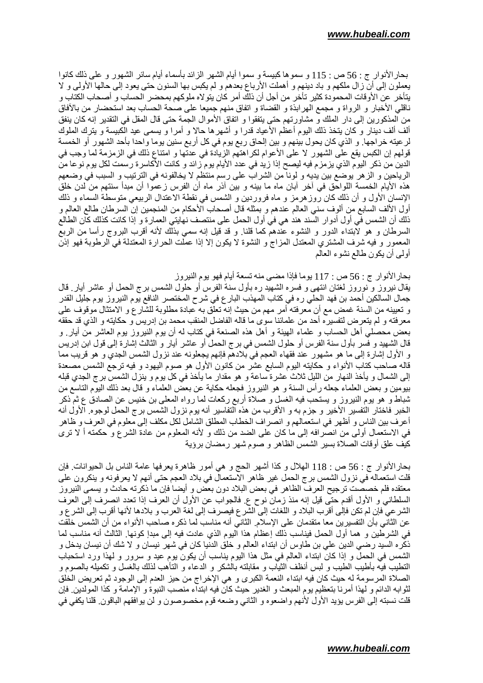بحار الأنوار ج : 56 ص : 115 و سموها كبيسة و سموا أيام الشهر الزائد بأسماء أيام سائر الشهور و على ذلك كانوا يعملون إلى أن زال ملكهم و باد دينهم و أهملت الأرباع بعدهم و لم يكبس بها السنون حتى يعود إلى حالها الأولى و لا يتأخر عن الأوقات المحمودة كثير تأخر من أجل أن ذلك أمر كان يتو لاه ملوكهم بمحضر الحساب و أصحاب الكتاب و ناقلي الأخبار و الرواة و مجمع الهرابذة و القضاة و اتفاق منهم جميعا على صحة الحساب بعد استحضار من بالأفاق من المذكورين إلى دار الملك و مشاورتهم حتى يتفقوا و اتفاق الأموال الجمة حتى قال المقل في التقدير إنه كان ينفق ألف ألف دينار و كان يتخذ ذلك اليوم أعظم الأعياد قدرا و أشهر ها حالا و أمرا و يسمى عيد الكبيسة و يترك الملوك لر عينه خراجها. و الذي كان يحول بينهم و بين إلحاق ربع يوم في كل أربع سنين يوما واحدا بأحد الشهور أو الخمسة قولهم إن الكبس يقع على الشهور لا على الأعوام لكراهتهم الزيادة في عدتها و امتناع ذلك في الزمزمة لما وجب في الدين من ذكر اليوم الذي يزمزم فيه ليصح إذا زيد في عدد الأيام يوم زائد و كانت الأكاسرة رسمت لكل يوم نوعا من الرياحين و الزهر يوضع بين يديه و لونا من الشراب على رسم منتظم لا يخالفونه في الترتيب و السبب في وضعهم هذه الأيام الخمسة اللواحق في أخر أبان ماه ما بينه و بين أذر ماه أن الفرس زعموا أن مبدأ سنتهم من لدن خلق الإنسان الأول و أن ذلك كان روز هرمز و ماه فروردين و الشمس في نقطة الاعتدال الربيعي متوسطة السماء و ذلك أول الألف السابع من ألوف سني العالم عندهم و بمثله قال أصحاب الأحكام من المنجمين إن السرطان طالع العالم و ذلك أن الشمس في أول أدوار السند هند هي في أول الحمل على منتصف نهايتي العمارة و إذا كانت كذلك كان الطالع السرطان و هو لٱبتداء الدور و النشوء عندهم كما قلنا ٍ و قد قيل إنه سمي بذلك لأنه أقرب البروج رأسا من الربع المعمور و فيه شرف المشتري المعتدل المزاج و النشوة لا يكون إلا إذا عملت الحرارة المعتدلة في الرطوبة فهو إذن أولىي أن يكون طالع نشوء العالم

بحار الأنوار ج : 56 ص : 117 يوما فإذا مضبي منه تسعة أيام فهو يوم النيروز

يقال نيروز و نوروز لغتان انتهى و فسره الشهيد ره بأول سنة الفرس أو حلول الشمس برج الحمل أو عاشر أيار قال جمال السالكين أحمد بن فهد الحلي ر هفي كتاب المهذب البار ع في شر ح المختصر النافع يوم النيروز يوم جليل القدر و تعبينه من السنة غمض مع أن معرفته أمر مهم من حيث إنه تعلق به عبادة مطلوبة للشارع و الامتثال موقوف علمي معرفته و لم يتعرض لتفسيره أحد من علمائنا سوى ما قاله الفاضل المنقب محمد بن إدريس و حكايته و الذي قد حققه بعض محصَّلـى أهل الـحساب و علماء الـهيئة و أهل هذه الصنعة فـي كتاب لـه أن يوم النيروز يوم الـعاشر من أيار ٍ و قال الشهيد و فسر بأول سنة الفرس أو حلول الشمس في بر ج الحمل أو عاشر أيار و الثالث إشارة إلى قول ابن إدريس و الأول إشارة إلى ما هو مشهور عند فقهاء العجم في بلادهم فإنهم يجعلونه عند نزول الشمس الجدي و هو قريب مما قاله صاحب كتاب الأنواء و حكايته اليوم السابع عشر من كانون الأول هو صوم اليهود و فيه ترجع الشمس مصعدة إلى الشمال و يأخذ النهار من الليل ثلاث عشرة ساعة و هو مقدار ما يأخذ في كل يوم و ينزل الشمس برج الجدي قبله بيومين و بعض العلماء جعله رأس السنة و هو النيروز فجعله حكاية عن بعض العلماء و قال بعد ذلك اليوم التاسع من شباط و هو بوم النيروز و يستحب فيه الغسل و صلاة أربع ركعات لما رواه المعلى بن خنيس عن الصـادق ع ثم ذكر الخبر فاختار التفسير الأخير و جزم به و الأقرب من هذه التفاسير أنه يوم نزول الشمس برج الحمل لوجوه. الأول أنه أعرف بين الناس و أظهر في استعمالهم و انصر اف الخطاب المطلق الشامل لكل مكلف إلى معلوم في العرف و ظاهر في الاستعمال أولَّـي من انصرافه إلى ما كان على الضد من ذلك و لأنه المعلوم من عادة الشرع و حكمته أ لا ترى كيف علق أوقات الصلاة بسير الشمس الظاهر و صوم شهر رمضان برؤية

بحار الأنوار ج : 56 ص : 118 الـهلال و كذا أشهر الـحج و هي أمور ظاهرة يعرفها عامة الناس بل الحيوانات فإن قلت استعماله في نزول الشمس برج الحمل غير ظاهر الاستعمال في بلاد العجم حتى أنهم لا يعرفونه و ينكرون على معتقده فلم خصصت ترجيح العرف الظاهر في بعض البلاد دون بعض و أيضا فإن ما ذكرته حادث و يسمى النيروز السلطاني و الأول أقدم حتى قيل إنه منذ زمان نوح ع فالجواب عن الأول أن العرف إذا تعدد انصرف إلى العرف الشرعي فإن لم تكن فإلى أقرب البلاد و اللغات إلى الشرع فيصرف إلى لغة العرب و بلادها لأنها أقرب إلى الشرع و عن الثاني بأن التفسيرين معا متقدمان على الإسلام. الثاني أنه مناسب لما ذكره صـاحب الأنواء من أن الشمس خلقت في الشرطين و هما أول الحمل فيناسب ذلك إعظام هذا اليوم الذي عادت فيه إلى مبدإ كونها. الثالث أنه مناسب لما ذكره السيد رضـي الدين علـي بن طـاوس أن ابتداء الـعالم و خلق الدنيا كان في شهر نيسان و لا شك أن نيسان يدخل و الشمس في الحمل و إذا كان ابتداء العالم في مثل هذا اليوم بناسب أن يكون بوم عيد و سرور و لـهذا ورد استحباب التطيب فيه بأطيب الطيب و لبس أنظف الثياب و مقابلته بالشكر و الدعاء و التأهب لذلك بالغسل و تكميله بالصوم و الصلاة المرسومة له حيث كان فيه ابتداء النعمة الكبرى و هي الإخراج من حيز العدم إلى الوجود ثم تعريض الخلق لثوابه الدائم و لهذا أمرنا بتعظيم يوم المبعث و الغدير حيث كان فيه ابتداء منصب النبوة و الإمامة و كذا المولدين فإن قلت نسبته إلى الفرس يؤيد الأول لأنهم واضعوه و الثاني وضعه قوم مخصوصون و لن يوافقهم الباقون قلنا يكفي في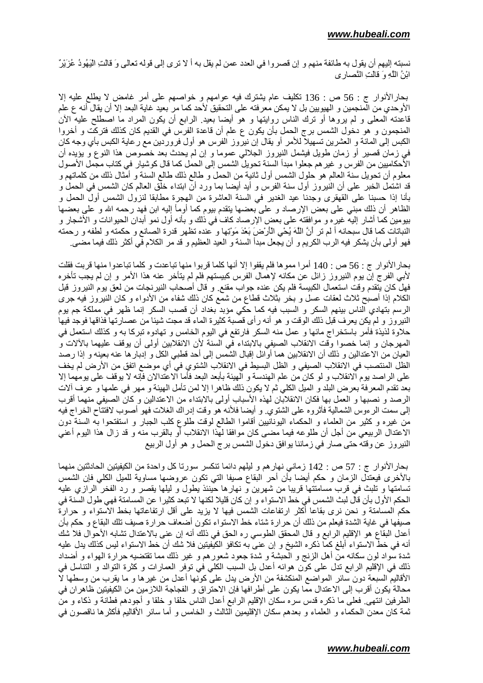نسبته إليهم أن يقول به طائفة منهم و إن قصروا في العدد عمن لم يقل به أ لا ترى إلى قوله تعالى وَ قالَتِ اليَهُودُ عُزَيْرٌ ابْنُ اللَّهِ وَ قَالَتِ النَّصارِ ي

بحارالأنوار ج : 56 ص : 136 نكليف عام يشترك فيه عوامهم و خواصهم على أمر غامض لا يطلع عليه إلا ً الأوحدي من المنجمين و الهيويين بل لا يمكن معرفته على التحقيق لأحد كما مر بعيد غاية البعد إلا أن يقال أنه ع علم قاعدته المعلَّى و لم يروها أو نرك الناس روايتها و هو أيضا بعيدٍ الرابع أن يكون المراد ما اصطلح عليه الأن المنجمون و هو دخول الشمس برج الحمل بأن يكون ع علم أن قاعدة الفرس في القديم كان كذلك فتركت و أخروا الكبس إلى المائة و العشرين تسهيلا للأمر أو يقال إن نيروز الفرس هو أول فروردين مع رعاية الكبس بأي وجه كان في زمان قصير أو زمان طويل فيشمل النيروز الجلالي عموما و إن لم يحدث بعد خصوص هذا النوع و يؤيده أن الأحكاميين من الفرس و غير هم جعلوا مبدأ السنة تحويل الشمس إلى الحمل كما قال كوشيار في كتاب مجمل الأصول معلوم أن تحويل سنة العالم هو حلول الشمس أول ثانية من الحمل و طالع ذلك طالع السنة و أمثال ذلك من كلماتهم و قد اشتمل الخبر على أن النيروز أول سنة الفرس و أيد أيضـا بمـا ورد أن ابتداء خلق العالم كان الشمس في الحمل و بأنا إذا حسبنا على القهقرى وجدنا عيد الغدير في السنة العاشرة من الهجرة مطابقا لنزول الشمس أول الحمل و الظاهر أن ذلك مبنى على بعض الإرصاد و على بعضها يتقدم بيوم كما أومأ إليه ابن فهد رحمه الله و على بعضها بيومين كما أشار إليه غيره و موافقته على بعض الإرصاد كاف في ذلك و بأنه أول نمو أبدان الحيوانات و الأشجار و النباتات كما قال سبحانه أ لم تر أنَّ اللَّهَ يُحْيِ الْأَرْضَ بَعْدَ مَوْتِها و عنده تظهر قدرة الصانع و حكمته و لطفه و رحمته فهو أولَّى بأن يشكِّر فيه الرب الكريم و أن يجعل مبدأ السنة و العيد العظيم و قد مر الكلام في أكثر ذلك فيما مضيي

بحار الأنوار ج : 56 ص : 140 أمرا مموها فلم يقفوا إلا أنها كلما قربوا منها تباعدت و كلما تباعدوا منها قربت فقلت لأبـي الفرج إن يوم النيروز زائل عن مكانـه لإهمال الفرس كبيستهم فلم لم يتأخر عنـه هذا الأمر و إن لم يجب تأخره فهل كان يتقدم وقت استعمال الكبيسة فلم يكن عنده جواب مقنع ٍ و قال أصـحاب النيرنـجات من لعق يوم النيروز قبل الكلام إذا أصبح ثلاث لعقات عسل و بخر بثلاث قطاع من شمع كان ذلك شفاء من الأدواء و كان النيروز فيه جرى الرسم بتهادي الناس بينهم السكر و السبب فيه كما حكي مؤبد بغداد أن قصب السكر إنما ظهر في مملكة جم يوم النيروز و لم يكن يعرف قبل ذلك الوقت و هو أنه رأى قصبة كثيرة الماء قد مجت شيئا من عصارتها فذاقها فوجد فيها حلاوة لذيذة فأمر باستخراج مائها و عمل منه السكر فارتفع في اليوم الخامس و تهادوه تبركا به و كذلك استعمل في المهرجان و إنما خصوا وقت الانقلاب الصيفي بالابتداء في السنة لأن الانقلابين أولى أن يوقف عليهما بالألات و العيان من الاعتدالين و ذلك أن الانقلابين هما أوائل إقبال الشمس إلى أحد قطبي الكل و إدبار ها عنه بعينه و إذا رصد الظلِّ المنتصب في الانقلاب الصيفي و الظلِّ البسيط في الانقلاب الشُّتوي في أي موضع اتفق من الأرض لم يخف على الراصد يوم الانقلاب و لو كان من علم الهندسة و الهيئة بأبعد البعد فأما الاعتدالان فإنه لا يوقف على يومهما إلا بعد تقدم المعرفة بعرض البلد و الميل الكلَّى ثم لا يكون ذلك ظاهرا إلا لمن تأمل الهيئة و مهر في علمها و عرف ألات الرصد و نصبها و العمل بها فكان الانقلابان لهذه الأسباب أولى بالابتداء من الاعتدالين و كان الصيفى منهما أقرب إلى سمت الرءوس الشمالية فأثروه على الشتوي و أيضا فلأنه هو وقت إدراك الغلات فهو أصوب لافتتاح الخراج فيه من غيره و كثير من العلماء و الحكماء اليونانيين أقاموا الطالع لوقت طلوع كلب الجبار و استفتحوا به السنة دون الاعتدال الربيعي من أجل أن طلوعه فيما مضيي كان موافقا لهذا الانقلاب أو بالقرب منه و قد زال هذا اليوم أعنى النيروز عن وقته حتى صار في زماننا يوافق دخول الشمس برج الحمل و هو أول الربيع

بحار الأنوار ج : 57 ص : 142 زماني نهار هم و ليلهم دائما تنكسر سورتا كل واحدة من الكيفيتين الحادثتين منهما بالأخرى فيعتدل الزمان و حكم أيضا بأن أحر البقاع صبفا التي نكون عروضها مساوية للميل الكلي فإن الشمس تسامتها و تلبث في قرب مسامتتها قريبا من شهرين و نهارها حينئذ يطول و ليلها يقصر و رد الفخر الرازي عليه الحكم الأول بأن قال لبث الشمس في خط الاستواء و إن كان قليلا لكنها لا تبعد كثير ا عن المسامتة فهي طول السنة في حكم المسامنة و نحن نرى بقاعا أكثر ارتفاعات الشمس فيها لا يزيد على أقل ارتفاعاتها بخط الاستواء و حرارة صيفها في غاية الشدة فيعلم من ذلك أن حرارة شناء خط الاستواء تكون أضعاف حرارة صيف تلك البقاع و حكم بأن أعدل البقاع هو الإقليم الرابع و قال المحقق الطوسي ره الحق في ذلك أنه إن عني بالاعتدال تشابه الأحوال فلا شك أنه في خط الاستواء أبلغ كما ذكره الشيخ و إن عني به تكافؤ الكيفيتين فلا شك أن خط الاستواء ليس كذلك يدل عليه شدة سواد لون سكانه من أهل الزنج و الحبشة و شدة جعود شعور هم و غير ذلك مما تقتضيه حرارة الهواء و أضداد ذلك في الإقليم الرابع ندل على كون هوائه أعدل بل السبب الكلي في توفر العمارات و كثرة التوالد و التناسل في الأقاليم السبعة دون سائر المواضع المنكشفة من الأرض يدل على كونها أعدل من غيرها و ما يقرب من وسطها لا محالة يكون أقرب إلى الاعتدال مما يكون على أطر افها فإن الاحتراق و الفجاجة اللازمين من الكيفيتين ظاهران في الطرفين انتهى فعلى ما ذكره قدس سره سكان الإقليم الرابع أعدل الناس خلقا و خلقا و أجودهم فطانة و ذكاء و من ثمة كان معدن الحكماء و العلماء و بعدهم سكان الإقليمين الثالث و الخامس و أما سائر الأقاليم فأكثر ها ناقصون في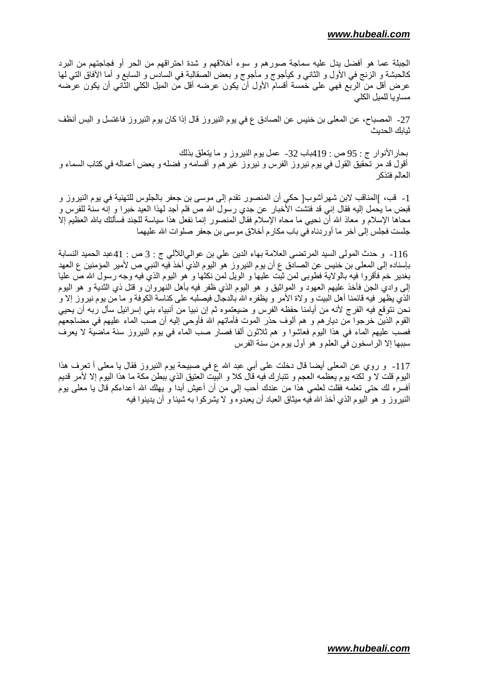الجبلة عما هو أفضل يدل عليه سماجة صورهم و سوء أخلاقهم و شدة احتراقهم من الحر أو فجاجتهم من البرد كالحبشة و الزنج في الأول و الثانبي و كيأجوج و مأجوج و بعض الصقالبة في السادس و السابع و أما الأفاق التبي لها عرض أقل من الربع فهي على خمسة أقسام الأول أن يكون عرضه أقل من الميل الكلي الثاني أن يكون عرضه مساويا للميل الكلي

27- المصباح، عن المعلى بن خنيس عن الصادق ع في يوم النيروز قال إذا كان يوم النيروز فاغتسل و البس أنظف ثيابك الحديث

بحارالأنوار ج : 95 ص : 419باب 32- عمل يوم النيروز و ما يتعلق بذلك أقول قد مر تحقيق القول في يوم نيروز الفرس و نيروز غير هم و أقسامه و فضله و بعض أعماله في كتاب السماء و العالم فتذكر

1- قب، ]المناقب لابن شهرآشوب[ حكي أن المنصور نقدم إلى موسى بن جعفر بالجلوس للتهنية في يوم النيروز و قبض ما يحمل إليه فقال إنـي قد فتشت الأخبار عن جدي رسول الله ص فلم أجد لـهذا العيد خبرًا و إنـه سنة للفرس و محاها الإسلام و معاذ الله أن نحيى ما محاه الإسلام فقال المنصور إنما نفعل هذا سياسة للجند فسألتك بالله العظيم إلا جلست فجلس إلى أخر ما أوردناه في باب مكارم أخلاق موسى بن جعفر صلوات الله عليهما

116- وحدث المولى السيد المرتضى العلامة بهاء الدين على بن عوالىاللآلى ج : 3 ص : 41عبد الحميد النسابة بـإسناده إلـى المعلـى بن خنيس عن الصـادق ع أن يوم النيروز هو اليوم الذي أخذ فيه النبـي ص لأمير المؤمنين ع العهد بغدير خم فأقروا فيه بالولاية فطوبي لمن ثبت عليها و الويل لمن نكثها و هو اليوم الذي فيه وجه رسول الله ص عليا إلى وادي الـجن فأخذ عليهم الـعهود و المواثيق و هو اليوم الذي ظفر فيه بأهل النـهروان و قتل ذي الثدية و هو اليوم الذي يظهر فيه قائمنا أهل البيت و ولاة الأمر و يظفره الله بالدجال فيصلبه على كناسة الكوفة و ما من يوم نيروز إلا و نحن نتوقع فيه الفرج لأنه من أيامنا حفظه الفرس و ضيعتموه ثم إن نبيا من أنبياء بنـي إسرائيل سأل ربـه أن يحيى القوم الذين خرجوا من ديار هم و هم ألوف حذر الموت فأماتهم الله فأوحى إليه أن صب الماء عليهم في مضاجعهم فصب عليهم الماء في هذا اليوم فعاشوا و هم ثلاثون ألفا فصار صب الماء في يوم النيروز سنة ماضية لا يعرف سببها إلا الراسخون في العلم و هو أول يوم من سنة الفرس

117- و روى عن المعلى أيضا قال دخلت على أبي عبد الله ع في صبيحة يوم النيروز فقال يا معلى أ تعرف هذا البوم قلت لا و لكنه بوم يعظمه العجم و تتبارك فيه قال كلا و البَيت العتيق الذي ببطن مكة ما هذا البوم إلا لأمر قديم أفسره لك حتى تعلمه فقلت لعلمي هذا من عندك أحب إلى من أن أعيش أبدا و يهلك الله أعداءكم قال يا معلى يوم النيروز و هو اليوم الذي أخذ الله فيه ميثاق العباد أن يعبدوه و لا يشركوا به شيئا و أن يدينوا فيه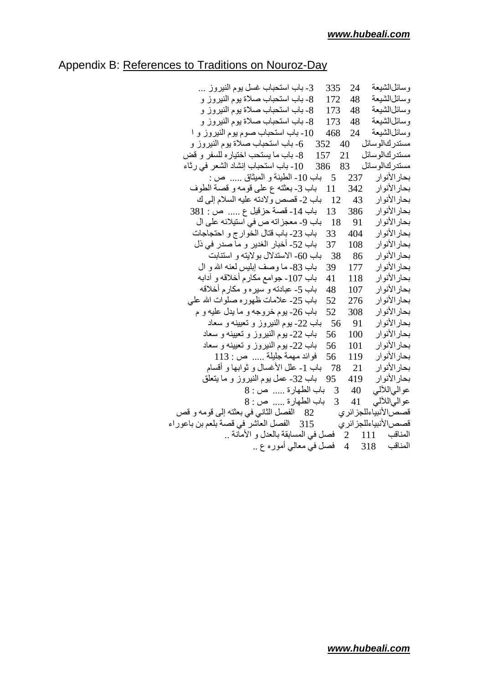## Appendix B: References to Traditions on Nouroz-Day

| 3- باب استحباب غسل يوم النيروز                                    | 335  | 24  | وسائلالشيعة          |
|-------------------------------------------------------------------|------|-----|----------------------|
| 8- باب استحباب صلاة يوم النيروز و                                 | 172  |     | وسائلالشيعة 48       |
| 173     8- باب استحباب صلاة يوم النيروز و                         |      | 48  | وسائلالشيعة          |
| 173     8- باب استحباب صلاة يوم النيروز و                         |      | 48  | وسائل الشيعة         |
| 10- باب استحباب صوم يوم النيروز و ا                               | 468  | 24  | وسائلالشيعة          |
| مستدركالوسائل     40    352    6- باب استحباب صلاة يوم النيروز و  |      |     |                      |
| 21     157     8- باب ما يستحب اختيار ه للسفر  و  قض              |      |     | مستدر كالوسائل       |
| مستدركالوسائل    83    386    10- باب استحباب إنشاد الشعر في رثاء |      |     |                      |
| 5    باب 10- الطينة و الميثاق …  ص :                              |      | 237 | بحار الأنو ار        |
| 11 باب 3-بعثته ع على قومه و قصة الطوف                             |      | 342 | بحار الأنوار         |
| 12 باب 2- قصص ولادته عليه السلام إلى ك                            |      | 43  | بحار الأنوار         |
| 13 باب 14- قصة حزقيل ع  ص : 381                                   |      | 386 | بحار الأنوار         |
| 18    باب 9- معجزاته ص في استيلائه على ال                         |      | 91  | بحار الأنوار         |
| باب 23- باب قتال الخوارج و احتجاجات                               | 33   | 404 | بحار الأنوار         |
| باب 52- أخبار الغدير و ما صدر في ذل                               | 37   | 108 | بحار الأنو ار        |
| باب 60- الاستدلال بولايته و استنابت                               | - 38 | 86  | بحار الأنو ار        |
| باب 83ـ ما وصف إبليس لعنه الله و ال                               | 39   | 177 | بحار الأنو ار        |
| باب 107- جوامع مكارم أخلاقه و أدابه                               | 41   | 118 | بحار الأنوار         |
| باب 5ـ عبادته و سيره و مكارم أخلاقه                               | 48   | 107 | بحار الأنوار         |
| باب 25- علامات ظهوره صلوات الله على                               | 52   | 276 | بحار الأنوار         |
| باب 26- يوم خروجه و ما يدل عليه و م                               | 52   | 308 | بحار الأنو ار        |
| باب 22- بوم النيروز و تعيينه و سعاد                               | 56   | 91  | بحار الأنوار         |
| باب 22- يوم النيروز و تعيينه و سعاد                               | 56   | 100 | بحار الأنوار         |
| باب 22- يوم النيروز و تعيينه و سعاد                               | 56   | 101 | بحار الأنوار         |
| $113:$ فوائد مهمة جليلة  ص                                        | 56   | 119 | بحار الأنوار         |
| باب 1ـ علل الأغسال و ثوابها و أقسام                               | -78  | 21  | بحار الأنوار         |
| باب 32- عمل بوم النيروز و ما يتعلق                                | 95   | 419 | بحار الأنوار         |
| 3 باب الطهارة  ص: 8                                               |      |     | عوالىاللألمى 40      |
| باب الطهارة  ص : 8                                                | 3    |     | عوالياللألي 41       |
| 82    الفصل الثاني في بعثته إلى قومه و قص                         |      |     | قصص لأنبياءللجز ائري |
| 315 الفصل العاشر في قصة بلعم بن باعوراء                           |      |     | قصص لأنبياءللجز ائرى |
| فصل في المسابقة بالعدل و الأمانة                                  |      |     | المناقب 111 2        |
| فصل في معالي أموره ع                                              |      |     | المناقب 318 4        |
|                                                                   |      |     |                      |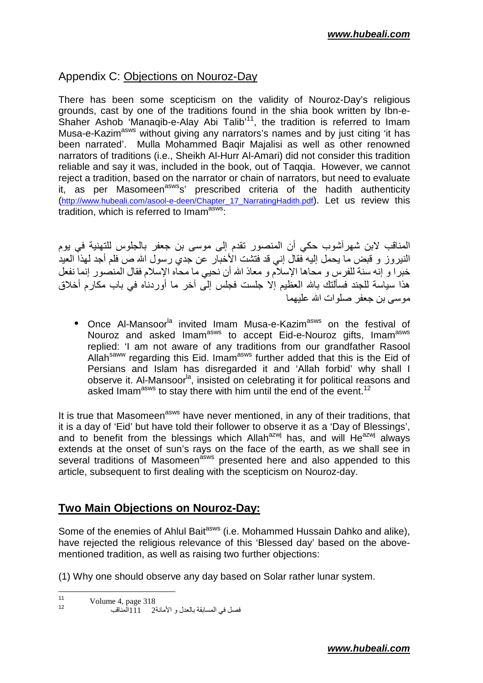#### Appendix C: Objections on Nouroz-Day

There has been some scepticism on the validity of Nouroz-Day's religious grounds, cast by one of the traditions found in the shia book written by Ibn-e-Shaher Ashob 'Manaqib-e-Alay Abi Talib<sup>'11</sup>, the tradition is referred to Imam Musa-e-Kazim<sup>asws</sup> without giving any narrators's names and by just citing 'it has been narrated'. Mulla Mohammed Baqir Majalisi as well as other renowned narrators of traditions (i.e., Sheikh Al-Hurr Al-Amari) did not consider this tradition reliable and say it was, included in the book, out of Taqqia. However, we cannot reject a tradition, based on the narrator or chain of narrators, but need to evaluate it, as per Masomeen<sup>asws</sup>s' prescribed criteria of the hadith authenticity (http://www.hubeali.com/asool-e-deen/Chapter\_17\_NarratingHadith.pdf). Let us review this tradition, which is referred to Imam<sup>asws</sup>:

المناقب لابن شهر أشوب حكي أن المنصور تقدم إلى موسى بن جعفر بالجلوس للتهنية في يوم النيروز و قبض ما يحمل إليه فقال إني قد فتشت الأخبار عن جدي رسول الله ص فلم أجد لمهذا العيد خبرًا و إنه سنة للفرس و محاها الإسلام و معاذ الله أن نحيي ما محاه الإسلام فقال المنصور إنما نفعل هذا سياسة للجند فسألتك بالله العظيم إلا جلست فجلس إلى أخر ما أوردناه في باب مكارم أخلاق موسى بن جعفر صلوات الله عليهما

• Once Al-Mansoor<sup>la</sup> invited Imam Musa-e-Kazim<sup>asws</sup> on the festival of Nouroz and asked Imam<sup>asws</sup> to accept Eid-e-Nouroz gifts, Imam<sup>asws</sup> replied: 'I am not aware of any traditions from our grandfather Rasool Allah<sup>saww</sup> regarding this Eid. Imam<sup>asws</sup> further added that this is the Eid of Persians and Islam has disregarded it and 'Allah forbid' why shall I observe it. Al-Mansoor<sup>la</sup>, insisted on celebrating it for political reasons and asked Imam<sup>asws</sup> to stay there with him until the end of the event.<sup>12</sup>

It is true that Masomeen<sup>asws</sup> have never mentioned, in any of their traditions, that it is a day of 'Eid' but have told their follower to observe it as a 'Day of Blessings', and to benefit from the blessings which Allah<sup>azwj</sup> has, and will He<sup>azwj</sup> always extends at the onset of sun's rays on the face of the earth, as we shall see in several traditions of Masomeen<sup>asws</sup> presented here and also appended to this article, subsequent to first dealing with the scepticism on Nouroz-day.

#### **Two Main Objections on Nouroz-Day:**

Some of the enemies of Ahlul Bait<sup>asws</sup> (i.e. Mohammed Hussain Dahko and alike), have rejected the religious relevance of this 'Blessed day' based on the abovementioned tradition, as well as raising two further objections:

(1) Why one should observe any day based on Solar rather lunar system.

 $11$ Volume 4, page 318  $12$ 

فصل في المسابقة بالعدل و الأمانة2 11 المذاقب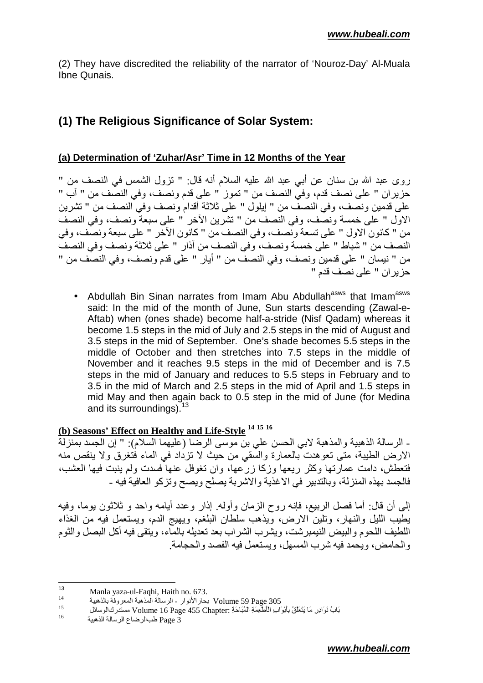(2) They have discredited the reliability of the narrator of 'Nouroz-Day' Al-Muala Ibne Qunais.

## **(1) The Religious Significance of Solar System:**

#### **(a) Determination of 'Zuhar/Asr' Time in 12 Months of the Year**

روى عبد الله بن سنان عن أبي عبد الله عليه السلام أنه قال: " تزول الشمس في النصف من " حزَّ بر ان " علي نصف قدم، وفيَّ النصف من " تموز ۚ " علي قدم ونصَّف، وفي النصَّف من " آب " على قدمين ونصف، وفي النصفُ من " إيلول " على ثلاثة أقدام ونصف وفي النصف من " تشرين الاول " على خمسة ونصف، وفي النصف من " تشرين الأخر " على سبعة ونصف، وفي النصف من " كانون الاول " على تسعة ونصف، وفي النصف من " كانون الأخر " على سبعة ونصف، وفي النصف من " شباط " على خمسة و نصف، و في النصف من آذار " على ثلاثة و نصف و في النصف من " نيسان " على قدمين ونصف، وفي النصف من " أيار " على قدم ونصف، وفي النصف من " حز بر ان " على نصف قدم "

• Abdullah Bin Sinan narrates from Imam Abu Abdullah<sup>asws</sup> that Imam<sup>asws</sup> said: In the mid of the month of June, Sun starts descending (Zawal-e-Aftab) when (ones shade) become half-a-stride (Nisf Qadam) whereas it become 1.5 steps in the mid of July and 2.5 steps in the mid of August and 3.5 steps in the mid of September. One's shade becomes 5.5 steps in the middle of October and then stretches into 7.5 steps in the middle of November and it reaches 9.5 steps in the mid of December and is 7.5 steps in the mid of January and reduces to 5.5 steps in February and to 3.5 in the mid of March and 2.5 steps in the mid of April and 1.5 steps in mid May and then again back to 0.5 step in the mid of June (for Medina and its surroundings).  $13$ 

## **(b) Seasons' Effect on Healthy and Life-Style <sup>14</sup> <sup>15</sup> <sup>16</sup>**

ـ الرسالة الذهبية والمذهبة لابي الحسن علي بن موسى الرضا (عليهما السلام): " إن الجسد بمنزلة الارْض الطيبة، متَّى تعوهدت بالعمارة والسُّقى من حيث لا تزدَّاد في الماء فتغرق ولا ينقص منه فتعطش، دامت عمارتها وكثر ريعها وزكا زرّعها، وان تغوفل عنها فسدت ولم بنبت فيها العشب، فالجسد بهذه المنزلة، وبالتدبير ٍ في الاغذية والاشربة يصلح ويصح وتزكو العافية فيه -

إلى أن قال: أما فصل الربيع، فإنه روح الزمان وأوله. إذار وعدد أيامه واحد و ثلاثون بوما، وفيه يطيب الليل والنـهار، وتلين الارض، ويذهب سلطان البلغم، ويـهيج الدم، ويستعمل فيه من الـغذاء اللطيف اللحوم والبيض النيمبرشت، ويشرب الشراب بعد نعديله بالمآء، ويتقى فيه أكل البصل والثوم و الحامض، و بحمد فبه شر ب المسهل، و بستعمل فبه الفصد و الحجامة

 $13$ <sup>13</sup> Manla yaza-ul-Faqhi, Haith no. 673.

<sup>14</sup> 701 Volume بحار الأنوار - الرسالة المذهبة المعروفة بالذهبية Volume 59 Page

<sup>15</sup> بَابُ نَوَادِرِ مَا يَتَعَلَّقُ بِأَبْوَابِ الْأَطْعِمَةِ الْمُبَاحَةِ :Volume 16 Page 455 Chapter مستدرك الوسائل

<sup>16</sup> Page 3 طبالرضاع الرسالة الذهبية Page 3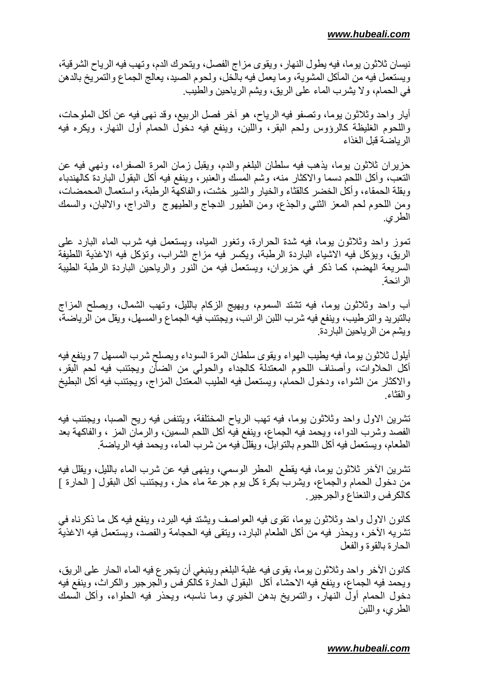نيسان ثلاثون يوما، فيه يطول النهار ، ويقوى مز اج الفصل، ويتحرك الدم، وتهب فيه الرياح الشرقية، ويستعمل فيه من المآكل المشوية، وما يعمل فيه بالخل، ولحوم الصيد، يعالج الجماع والتمريخ بالدهن في الحمام، ولا يشرب الماء على الريق، ويشم الرياحين والطيب.

أيار واحد وثلاثون يوما، وتصفو فيه الرياح، هو أخر فصل الربيع، وقد نهي فيه عن أكل الملوحات، واللحوم الغليظة كالرؤوس ولحم البقر، واللبن، وينفع فيه دخول الحمام أول النهار، ويكره فيه الر باضية قبل الغذاء

حزيران ثلاثون بوما، بذهب فيه سلطان البلغم والدم، ويقبل زمان المرة الصفراء، ونهي فيه عن النعب، وأكل اللحم دسما والاكثار منه، وشم المسك والعنبر، وينفع فيه أكل البقول الباردة كالهندباء وبقلة الحمقاء، وأكل الخضر كالقثاء والخيار والشير خشت، والفاكهة الرطبة، واستعمال المحمضات، ومن اللحوم لحم المعز الثنبي والجذع، ومن الطيور الدجاج والطيهوج ۖ والدراج، والالبان، والسمك الطر ي

تموز واحد وثلاثون بوما، فيه شدة الحرارة، وتغور المياه، ويستعمل فيه شرب الماء البارد على الريق، ويؤكل فيه الاشياء الباردة الرطبة، ويكسر فيه مزاج الشراب، وتؤكل فيه الاغذية اللطيفة السريعة المهضم، كما ذكر في حزيران، ويستعمل فيه من النور والرياحين الباردة الرطبة الطيبة ال ائحة

أب واحد وثلاثون بوما، فيه تشتد السموم، ويهيج الزكام بالليل، وتهب الشمال، ويصلح المزاج بالتبريد والترطيب، وينفع فيه شرب اللبن الرائب، ويجتنب فيه الجماع والمسهل، ويقل من الرياضة، ويشم من الرياحين الباردة.

أيلول ثلاثون بوما، فيه بطيب الهواء ويقوى سلطان المرة السوداء ويصلح شرب المسهل 7 وينفع فيه أكل الحلاوات، وأصناف اللحوم المعتدلة كالجداء والحولي من الضأن ويجتنب فيه لحم الَّبقر، والاكثار من الشواء، ودخول الحمام، ويستعمل فيه الطيب المعتدل المزاج، ويجتنب فيه أكل البطيخ والقثاء

تشرين الاول واحد وثلاثون يوما، فيه تهب الرياح المختلفة، ويتنفس فيه ريح الصبا، ويجتنب فيه الفصد وشرب الدواء، ويحمد فيه الجماع، وينفع فيه أكل اللحم السمين، والرمان المز ، والفاكهة بعد الطعام، ويستعمل فيه أكل اللحوم بالتوابل، ويقللُ فيه من شرب الماء، ويحمد فيه الرياضة.

تَشْرِينِ الْأَخْرِ ثْلاَثُونِ يوماً، فَيَهْ يَقْطَعُ ۖ الْمُطْرِ الْوَسْمَى، ويَنْهَى فَيْهِ عَنْ شَرْب الماء بالليل، ويقلل فيه من دخول الحمام والجماع، ويشرب بكرة كل يوم جرعة ماء حار ، ويجتنب أكل البقول [ الحارة ] كالكرفس والنعناع والجرجير

كانون الإول واحد وثلاثون يوما، تقوى فيه العواصف ويشتد فيه البر د، وينفع فيه كل ما ذكر ناه في تشريه الآخر، ويحذر فيه من أكل الطعام البارد، ويتقى فيه الحجامة والفصد، ويستعمل فيه الاغذية الحار ة بالقوة والفعل

كانون الآخر ۖ و احد و ثلاثون بو ما، بقو ي فيه غلبة البلغم و بنبغي أن بنجر ع فيه الماء الحار ۖ علي الر بق، ويحمد فيه الجماع، وينفع فيه الاحشاء أكل البقول الحارة كالكرفس والجرجير والكراث، وينفع فيه دخول الحمام أول النهار، والتمريخ بدهن الخيري وما ناسبه، ويحذر فيه الحلواء، وأكل السمك الطر ي، واللبن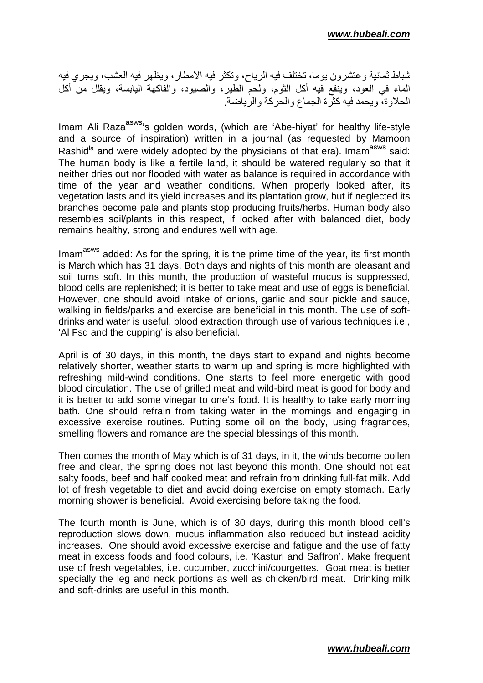تسباط ثمانية وعنشرون يوما، تختلف فيه الرياح، وتكثر فيه الامطار ، ويظهر فيه العشب، ويجرى فيه الماء في العود، وينفع فيه أكل الثوم، ولحمّ الطير، والصيود، والفاكهة اليابسة، ويقلل من أكل مصر علي سكن .<br>الحلاوة، ويحمد فيه كثرة الجماع والحركة والرياضة.

Imam Ali Raza<sup>asws,</sup> golden words, (which are 'Abe-hiyat' for healthy life-style and a source of inspiration) written in a journal (as requested by Mamoon Rashid<sup>la</sup> and were widely adopted by the physicians of that era). Imam<sup>asws</sup> said: The human body is like a fertile land, it should be watered regularly so that it neither dries out nor flooded with water as balance is required in accordance with time of the year and weather conditions. When properly looked after, its vegetation lasts and its yield increases and its plantation grow, but if neglected its branches become pale and plants stop producing fruits/herbs. Human body also resembles soil/plants in this respect, if looked after with balanced diet, body remains healthy, strong and endures well with age.

Imam<sup>asws</sup> added: As for the spring, it is the prime time of the year, its first month is March which has 31 days. Both days and nights of this month are pleasant and soil turns soft. In this month, the production of wasteful mucus is suppressed, blood cells are replenished; it is better to take meat and use of eggs is beneficial. However, one should avoid intake of onions, garlic and sour pickle and sauce, walking in fields/parks and exercise are beneficial in this month. The use of softdrinks and water is useful, blood extraction through use of various techniques i.e., 'Al Fsd and the cupping' is also beneficial.

April is of 30 days, in this month, the days start to expand and nights become relatively shorter, weather starts to warm up and spring is more highlighted with refreshing mild-wind conditions. One starts to feel more energetic with good blood circulation. The use of grilled meat and wild-bird meat is good for body and it is better to add some vinegar to one's food. It is healthy to take early morning bath. One should refrain from taking water in the mornings and engaging in excessive exercise routines. Putting some oil on the body, using fragrances, smelling flowers and romance are the special blessings of this month.

Then comes the month of May which is of 31 days, in it, the winds become pollen free and clear, the spring does not last beyond this month. One should not eat salty foods, beef and half cooked meat and refrain from drinking full-fat milk. Add lot of fresh vegetable to diet and avoid doing exercise on empty stomach. Early morning shower is beneficial. Avoid exercising before taking the food.

The fourth month is June, which is of 30 days, during this month blood cell's reproduction slows down, mucus inflammation also reduced but instead acidity increases. One should avoid excessive exercise and fatigue and the use of fatty meat in excess foods and food colours, i.e. 'Kasturi and Saffron'. Make frequent use of fresh vegetables, i.e. cucumber, zucchini/courgettes. Goat meat is better specially the leg and neck portions as well as chicken/bird meat. Drinking milk and soft-drinks are useful in this month.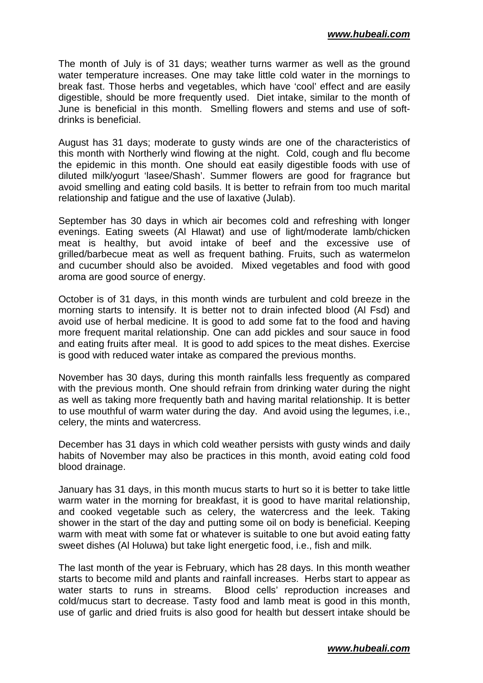The month of July is of 31 days; weather turns warmer as well as the ground water temperature increases. One may take little cold water in the mornings to break fast. Those herbs and vegetables, which have 'cool' effect and are easily digestible, should be more frequently used. Diet intake, similar to the month of June is beneficial in this month. Smelling flowers and stems and use of softdrinks is beneficial.

August has 31 days; moderate to gusty winds are one of the characteristics of this month with Northerly wind flowing at the night. Cold, cough and flu become the epidemic in this month. One should eat easily digestible foods with use of diluted milk/yogurt 'lasee/Shash'. Summer flowers are good for fragrance but avoid smelling and eating cold basils. It is better to refrain from too much marital relationship and fatigue and the use of laxative (Julab).

September has 30 days in which air becomes cold and refreshing with longer evenings. Eating sweets (Al Hlawat) and use of light/moderate lamb/chicken meat is healthy, but avoid intake of beef and the excessive use of grilled/barbecue meat as well as frequent bathing. Fruits, such as watermelon and cucumber should also be avoided. Mixed vegetables and food with good aroma are good source of energy.

October is of 31 days, in this month winds are turbulent and cold breeze in the morning starts to intensify. It is better not to drain infected blood (Al Fsd) and avoid use of herbal medicine. It is good to add some fat to the food and having more frequent marital relationship. One can add pickles and sour sauce in food and eating fruits after meal. It is good to add spices to the meat dishes. Exercise is good with reduced water intake as compared the previous months.

November has 30 days, during this month rainfalls less frequently as compared with the previous month. One should refrain from drinking water during the night as well as taking more frequently bath and having marital relationship. It is better to use mouthful of warm water during the day. And avoid using the legumes, i.e., celery, the mints and watercress.

December has 31 days in which cold weather persists with gusty winds and daily habits of November may also be practices in this month, avoid eating cold food blood drainage.

January has 31 days, in this month mucus starts to hurt so it is better to take little warm water in the morning for breakfast, it is good to have marital relationship, and cooked vegetable such as celery, the watercress and the leek. Taking shower in the start of the day and putting some oil on body is beneficial. Keeping warm with meat with some fat or whatever is suitable to one but avoid eating fatty sweet dishes (Al Holuwa) but take light energetic food, i.e., fish and milk.

The last month of the year is February, which has 28 days. In this month weather starts to become mild and plants and rainfall increases. Herbs start to appear as water starts to runs in streams. Blood cells' reproduction increases and cold/mucus start to decrease. Tasty food and lamb meat is good in this month, use of garlic and dried fruits is also good for health but dessert intake should be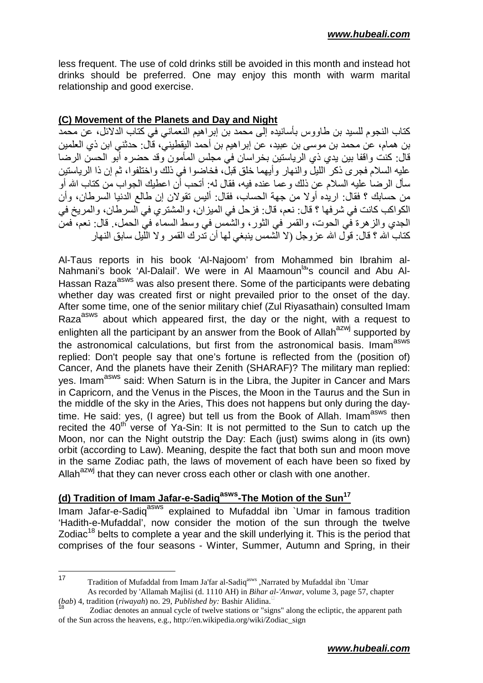less frequent. The use of cold drinks still be avoided in this month and instead hot drinks should be preferred. One may enjoy this month with warm marital relationship and good exercise.

#### **(C) Movement of the Planets and Day and Night**

كتاب النجوم للسيد بن طاووس بأسانيده إلى محمد بن إبر اهيم النعماني في كتاب الدلائل، عن محمد بن همام، عن محمد بن موسى بن عبيد، عن إبر اهيم بن أحمد اليقطيني، قال: حدثني ابن ذي العلمين قال: كنت واقفا بين يدي ذي الرياستين بخراسان في مجلس المأمون وقد حضره أبو الحسن الرضا عليه السلام فجر ى ذكر الليل والنهار وأبهما خلق قبل، فخاضوا في ذلك واختلفوا، ثم إن ذا الرياستين سأل الرضـا عليه السلام عن ذلك و عمـا عنده فيه، فقال لـه: أتـحب أن اعطيك الـجواب من كتـاب الله أو من حسابك ؟ فقال: ار بده أو لا من جهة الحساب، فقال: ألبس تقو لان إن طالع الدنبا السر طان، وأن الكو اكب كانت في شر فها ؟ قال: نعم، قال: فز حل في الميز ان، و المشتر ي في السر طان، و المر يخ في الجدي والز هرة في الحوت، والقمر في الثور ، والشمس في وسط السماء في الحمل، ِ قال: نعم، فمن كتاب الله ؟ قال: قول الله عزوجل (لا الشمس ينبغي لمها أن تدرك القمر ولا الليل سابق النهار

Al-Taus reports in his book 'Al-Najoom' from Mohammed bin Ibrahim al-Nahmani's book 'Al-Dalail'. We were in Al Maamoun<sup>la</sup>'s council and Abu Al-Hassan Raza<sup>asws</sup> was also present there. Some of the participants were debating whether day was created first or night prevailed prior to the onset of the day. After some time, one of the senior military chief (Zul Riyasathain) consulted Imam Raza<sup>asws</sup> about which appeared first, the day or the night, with a request to enlighten all the participant by an answer from the Book of Allah<sup>azwj</sup> supported by the astronomical calculations, but first from the astronomical basis. Imam<sup>asws</sup> replied: Don't people say that one's fortune is reflected from the (position of) Cancer, And the planets have their Zenith (SHARAF)? The military man replied: yes. Imam<sup>asws</sup> said: When Saturn is in the Libra, the Jupiter in Cancer and Mars in Capricorn, and the Venus in the Pisces, the Moon in the Taurus and the Sun in the middle of the sky in the Aries, This does not happens but only during the daytime. He said: yes, (I agree) but tell us from the Book of Allah. Imam<sup>asws</sup> then recited the  $40<sup>th</sup>$  verse of Ya-Sin: It is not permitted to the Sun to catch up the Moon, nor can the Night outstrip the Day: Each (just) swims along in (its own) orbit (according to Law). Meaning, despite the fact that both sun and moon move in the same Zodiac path, the laws of movement of each have been so fixed by Allah<sup>azwj</sup> that they can never cross each other or clash with one another.

## **(d) Tradition of Imam Jafar-e-Sadiqasws-The Motion of the Sun<sup>17</sup>**

Imam Jafar-e-Sadig<sup>asws</sup> explained to Mufaddal ibn `Umar in famous tradition 'Hadith-e-Mufaddal', now consider the motion of the sun through the twelve Zodiac<sup>18</sup> belts to complete a year and the skill underlying it. This is the period that comprises of the four seasons - Winter, Summer, Autumn and Spring, in their

 $17$ <sup>17</sup> Tradition of Mufaddal from Imam Ja'far al-Sadiqasws ,Narrated by Mufaddal ibn `Umar As recorded by 'Allamah Majlisi (d. 1110 AH) in *Bihar al-'Anwar*, volume 3, page 57, chapter (*bab*) 4, tradition (*riwayah*) no. 29, *Published by:* Bashir Alidina.-

<sup>&</sup>lt;sup>18</sup> Zodiac denotes an annual cycle of twelve stations or "signs" along the ecliptic, the apparent path of the Sun across the heavens, e.g., http://en.wikipedia.org/wiki/Zodiac\_sign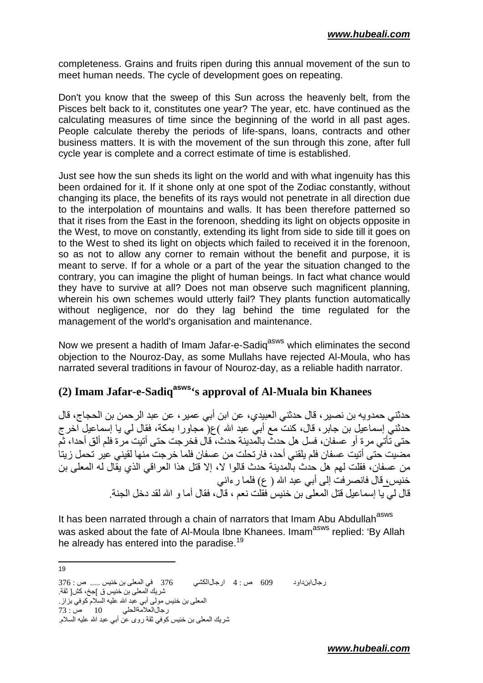completeness. Grains and fruits ripen during this annual movement of the sun to meet human needs. The cycle of development goes on repeating.

Don't you know that the sweep of this Sun across the heavenly belt, from the Pisces belt back to it, constitutes one year? The year, etc. have continued as the calculating measures of time since the beginning of the world in all past ages. People calculate thereby the periods of life-spans, loans, contracts and other business matters. It is with the movement of the sun through this zone, after full cycle year is complete and a correct estimate of time is established.

Just see how the sun sheds its light on the world and with what ingenuity has this been ordained for it. If it shone only at one spot of the Zodiac constantly, without changing its place, the benefits of its rays would not penetrate in all direction due to the interpolation of mountains and walls. It has been therefore patterned so that it rises from the East in the forenoon, shedding its light on objects opposite in the West, to move on constantly, extending its light from side to side till it goes on to the West to shed its light on objects which failed to received it in the forenoon, so as not to allow any corner to remain without the benefit and purpose, it is meant to serve. If for a whole or a part of the year the situation changed to the contrary, you can imagine the plight of human beings. In fact what chance would they have to survive at all? Does not man observe such magnificent planning, wherein his own schemes would utterly fail? They plants function automatically without negligence, nor do they lag behind the time regulated for the management of the world's organisation and maintenance.

Now we present a hadith of Imam Jafar-e-Sadiq<sup>asws</sup> which eliminates the second objection to the Nouroz-Day, as some Mullahs have rejected Al-Moula, who has narrated several traditions in favour of Nouroz-day, as a reliable hadith narrator.

## **(2) Imam Jafar-e-Sadiqasws's approval of Al-Muala bin Khanees**

حدثني حمدويه بن نصير ، قال حدثني العبيدي، عن ابن أبي عمير ، عن عبد الر حمن بن الحجاج، قال حدثني إسماعيل بن جابر ، قال، كنت مع أبي عبد الله )ع( مجاورا بمكة، فقال لي يا إسماعيل اخر ج حتى تأتي مر ة أو عسفان، فسل هل حدثٌ بالمدينة حدث، قَال فخر جت حتى أتيت مرة فلم ألق أحدا، ثُمّ مضيت حتى أتيت عسفان فلم يلقني أحد، فارتحلت من عسفان فلما خرجت منها لقيني عير تحمل زيتاً من عسفان، فقلت لهم هل حدث بالمدينة حدث قالوا لا، إلا قتل هذا العراقي الذي يقال له المعلى بن خنيس، قال فانصر فت إلى أبي عبد الله ( ع) فلما ر ءاني قال لي يا إسماعيل قتل المعلى بن خنيس فقلت نعم ، قال، فقال أما و الله لقد دخل الجنة

It has been narrated through a chain of narrators that Imam Abu Abdullah<sup>asws</sup> was asked about the fate of Al-Moula Ibne Khanees. Imam<sup>asws</sup> replied: 'By Allah he already has entered into the paradise.<sup>19</sup>

—<br>19

رCل اداود 609 ص : 4 ارCلا0
376 
اX ' D ..... ص : 376 شر يك المعلى بن خنيس ق ]جخ، كش[ ثقة ِ المعلى بن خنيس مولى أبى عبد الله عليه السلام كوفي بّزاز . رجالالعلامةالحلي 10 ص: 73 شريك المعلى بن خنيس كوفي ثقة روى عن أبي عبد الله عليه السلام.